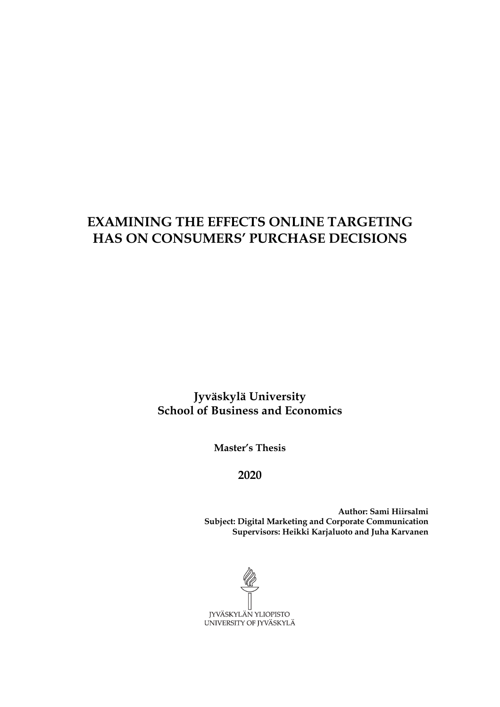# **EXAMINING THE EFFECTS ONLINE TARGETING HAS ON CONSUMERS' PURCHASE DECISIONS**

**Jyväskylä University School of Business and Economics**

**Master's Thesis**

**2020**

**Author: Sami Hiirsalmi Subject: Digital Marketing and Corporate Communication Supervisors: Heikki Karjaluoto and Juha Karvanen**

JYVÄSKYLÄN YLIOPISTO UNIVERSITY OF JYVÄSKYLÄ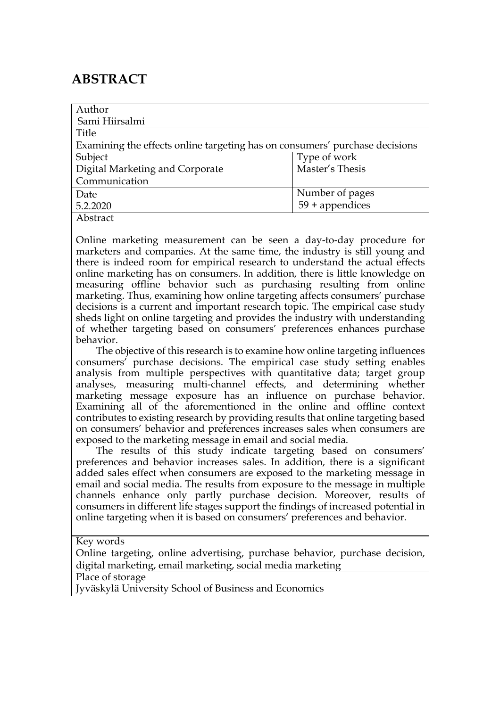# **ABSTRACT**

| Author                                                                      |                   |
|-----------------------------------------------------------------------------|-------------------|
| Sami Hiirsalmi                                                              |                   |
| Title                                                                       |                   |
| Examining the effects online targeting has on consumers' purchase decisions |                   |
| Subject                                                                     | Type of work      |
| Digital Marketing and Corporate                                             | Master's Thesis   |
| Communication                                                               |                   |
| Date                                                                        | Number of pages   |
| 5.2.2020                                                                    | $59 +$ appendices |
| Abstract                                                                    |                   |

Online marketing measurement can be seen a day-to-day procedure for marketers and companies. At the same time, the industry is still young and there is indeed room for empirical research to understand the actual effects online marketing has on consumers. In addition, there is little knowledge on measuring offline behavior such as purchasing resulting from online marketing. Thus, examining how online targeting affects consumers' purchase decisions is a current and important research topic. The empirical case study sheds light on online targeting and provides the industry with understanding of whether targeting based on consumers' preferences enhances purchase behavior.

 The objective of this research is to examine how online targeting influences consumers' purchase decisions. The empirical case study setting enables analysis from multiple perspectives with quantitative data; target group analyses, measuring multi-channel effects, and determining whether marketing message exposure has an influence on purchase behavior. Examining all of the aforementioned in the online and offline context contributes to existing research by providing results that online targeting based on consumers' behavior and preferences increases sales when consumers are exposed to the marketing message in email and social media.

 The results of this study indicate targeting based on consumers' preferences and behavior increases sales. In addition, there is a significant added sales effect when consumers are exposed to the marketing message in email and social media. The results from exposure to the message in multiple channels enhance only partly purchase decision. Moreover, results of consumers in different life stages support the findings of increased potential in online targeting when it is based on consumers' preferences and behavior.

Key words

Online targeting, online advertising, purchase behavior, purchase decision, digital marketing, email marketing, social media marketing

Place of storage

Jyväskylä University School of Business and Economics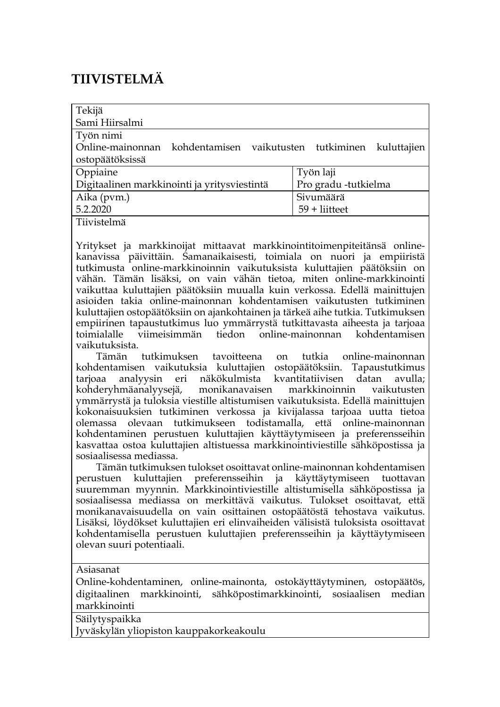# **TIIVISTELMÄ**

| Tekijä                                                            |                      |
|-------------------------------------------------------------------|----------------------|
| Sami Hiirsalmi                                                    |                      |
| Työn nimi                                                         |                      |
| Online-mainonnan kohdentamisen vaikutusten tutkiminen kuluttajien |                      |
| ostopäätöksissä                                                   |                      |
| Oppiaine                                                          | Työn laji            |
| Digitaalinen markkinointi ja yritysviestintä                      | Pro gradu -tutkielma |
| Aika (pvm.)                                                       | Sivumäärä            |
| 5.2.2020                                                          | $59 +$ liitteet      |
| Tiivistelmä                                                       |                      |

Yritykset ja markkinoijat mittaavat markkinointitoimenpiteitänsä onlinekanavissa päivittäin. Samanaikaisesti, toimiala on nuori ja empiiristä tutkimusta online-markkinoinnin vaikutuksista kuluttajien päätöksiin on vähän. Tämän lisäksi, on vain vähän tietoa, miten online-markkinointi vaikuttaa kuluttajien päätöksiin muualla kuin verkossa. Edellä mainittujen asioiden takia online-mainonnan kohdentamisen vaikutusten tutkiminen kuluttajien ostopäätöksiin on ajankohtainen ja tärkeä aihe tutkia. Tutkimuksen empiirinen tapaustutkimus luo ymmärrystä tutkittavasta aiheesta ja tarjoaa toimialalle viimeisimmän tiedon online-mainonnan kohdentamisen vaikutuksista.

 Tämän tutkimuksen tavoitteena on tutkia online-mainonnan kohdentamisen vaikutuksia kuluttajien ostopäätöksiin. Tapaustutkimus<br>tarioaa analyvsin eri näkökulmista kvantitatiivisen datan avulla; tarjoaa analyysin eri näkökulmista kvantitatiivisen datan avulla; kohderyhmäanalyysejä, monikanavaisen markkinoinnin vaikutusten ymmärrystä ja tuloksia viestille altistumisen vaikutuksista. Edellä mainittujen kokonaisuuksien tutkiminen verkossa ja kivijalassa tarjoaa uutta tietoa olemassa olevaan tutkimukseen todistamalla, että online-mainonnan kohdentaminen perustuen kuluttajien käyttäytymiseen ja preferensseihin kasvattaa ostoa kuluttajien altistuessa markkinointiviestille sähköpostissa ja sosiaalisessa mediassa.

 Tämän tutkimuksen tulokset osoittavat online-mainonnan kohdentamisen perustuen kuluttajien preferensseihin ja käyttäytymiseen tuottavan suuremman myynnin. Markkinointiviestille altistumisella sähköpostissa ja sosiaalisessa mediassa on merkittävä vaikutus. Tulokset osoittavat, että monikanavaisuudella on vain osittainen ostopäätöstä tehostava vaikutus. Lisäksi, löydökset kuluttajien eri elinvaiheiden välisistä tuloksista osoittavat kohdentamisella perustuen kuluttajien preferensseihin ja käyttäytymiseen olevan suuri potentiaali.

Asiasanat

Online-kohdentaminen, online-mainonta, ostokäyttäytyminen, ostopäätös, digitaalinen markkinointi, sähköpostimarkkinointi, sosiaalisen median markkinointi

Säilytyspaikka

Jyväskylän yliopiston kauppakorkeakoulu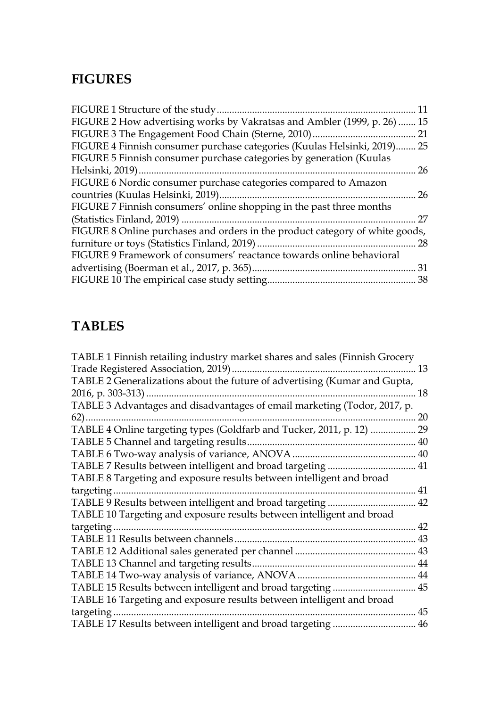# **FIGURES**

| 11                                                                           |
|------------------------------------------------------------------------------|
| FIGURE 2 How advertising works by Vakratsas and Ambler (1999, p. 26)  15     |
| 21                                                                           |
| FIGURE 4 Finnish consumer purchase categories (Kuulas Helsinki, 2019) 25     |
|                                                                              |
| 26                                                                           |
|                                                                              |
| 26                                                                           |
|                                                                              |
| 27                                                                           |
| FIGURE 8 Online purchases and orders in the product category of white goods, |
| 28                                                                           |
|                                                                              |
|                                                                              |
|                                                                              |
|                                                                              |

# **TABLES**

| TABLE 1 Finnish retailing industry market shares and sales (Finnish Grocery |    |
|-----------------------------------------------------------------------------|----|
|                                                                             | 13 |
| TABLE 2 Generalizations about the future of advertising (Kumar and Gupta,   |    |
|                                                                             | 18 |
| TABLE 3 Advantages and disadvantages of email marketing (Todor, 2017, p.    |    |
| $62)$                                                                       | 20 |
| TABLE 4 Online targeting types (Goldfarb and Tucker, 2011, p. 12)           | 29 |
|                                                                             | 40 |
|                                                                             |    |
|                                                                             | 41 |
| TABLE 8 Targeting and exposure results between intelligent and broad        |    |
|                                                                             | 41 |
| TABLE 9 Results between intelligent and broad targeting                     | 42 |
| TABLE 10 Targeting and exposure results between intelligent and broad       |    |
| targeting                                                                   | 42 |
| TABLE 11 Results between channels.                                          | 43 |
|                                                                             | 43 |
|                                                                             | 44 |
|                                                                             | 44 |
|                                                                             | 45 |
| TABLE 16 Targeting and exposure results between intelligent and broad       |    |
| targeting.                                                                  | 45 |
|                                                                             | 46 |
|                                                                             |    |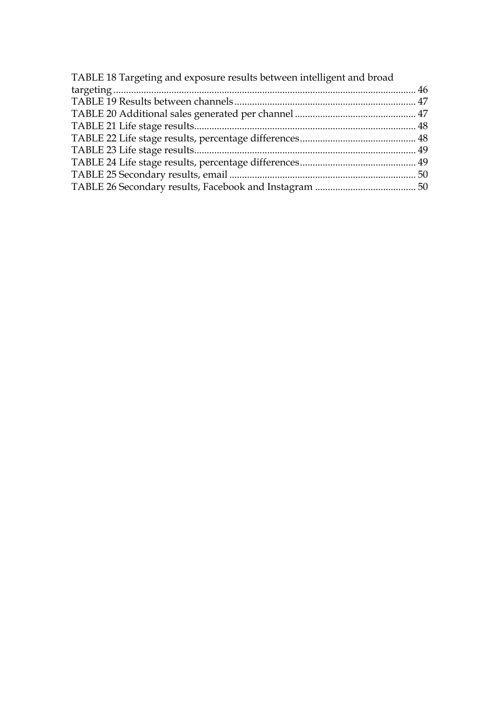| TABLE 18 Targeting and exposure results between intelligent and broad |  |
|-----------------------------------------------------------------------|--|
|                                                                       |  |
|                                                                       |  |
|                                                                       |  |
|                                                                       |  |
|                                                                       |  |
|                                                                       |  |
|                                                                       |  |
|                                                                       |  |
|                                                                       |  |
|                                                                       |  |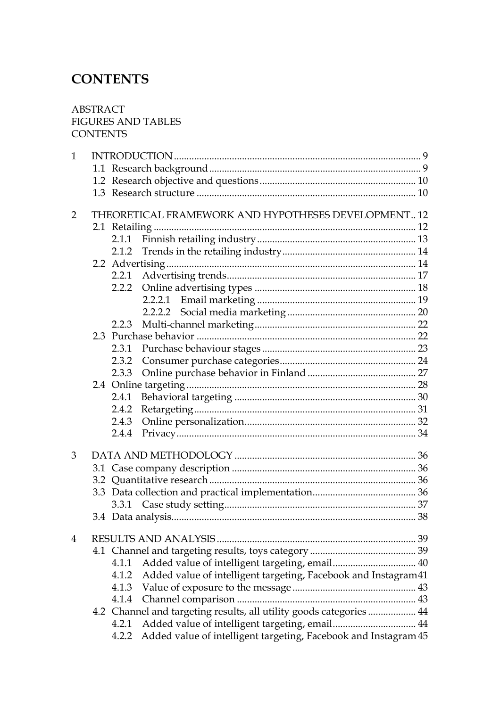# **CONTENTS**

## ABSTRACT FIGURES AND TABLES **CONTENTS**

| $\mathbf{1}$   |                      |                                                                     |  |
|----------------|----------------------|---------------------------------------------------------------------|--|
|                |                      |                                                                     |  |
|                |                      |                                                                     |  |
|                |                      |                                                                     |  |
| $\overline{2}$ |                      | THEORETICAL FRAMEWORK AND HYPOTHESES DEVELOPMENT12                  |  |
|                |                      |                                                                     |  |
|                | 2.1.1                |                                                                     |  |
|                |                      |                                                                     |  |
|                |                      |                                                                     |  |
|                |                      |                                                                     |  |
|                |                      |                                                                     |  |
|                |                      |                                                                     |  |
|                |                      |                                                                     |  |
|                | 2.2.3                |                                                                     |  |
|                |                      |                                                                     |  |
|                |                      |                                                                     |  |
|                | 2.3.2                |                                                                     |  |
|                | 2.3.3                |                                                                     |  |
|                |                      |                                                                     |  |
|                | 2.4.1                |                                                                     |  |
|                | 2.4.2                |                                                                     |  |
|                | 2.4.3                |                                                                     |  |
|                | 2.4.4                |                                                                     |  |
| 3              |                      |                                                                     |  |
|                |                      |                                                                     |  |
|                |                      |                                                                     |  |
|                |                      |                                                                     |  |
|                |                      |                                                                     |  |
|                |                      |                                                                     |  |
| $\overline{4}$ | RESULTS AND ANALYSIS |                                                                     |  |
|                |                      |                                                                     |  |
|                | 4.1.1                |                                                                     |  |
|                | 4.1.2                | Added value of intelligent targeting, Facebook and Instagram41      |  |
|                | 4.1.3                |                                                                     |  |
|                |                      |                                                                     |  |
|                |                      | 4.2 Channel and targeting results, all utility goods categories  44 |  |
|                | 4.2.1                |                                                                     |  |
|                | 4.2.2                | Added value of intelligent targeting, Facebook and Instagram 45     |  |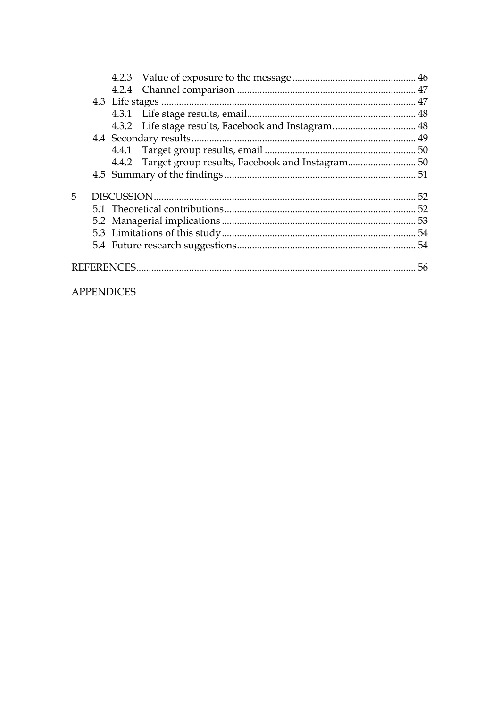| 5. |  |  |
|----|--|--|
|    |  |  |
|    |  |  |
|    |  |  |
|    |  |  |
|    |  |  |

# **APPENDICES**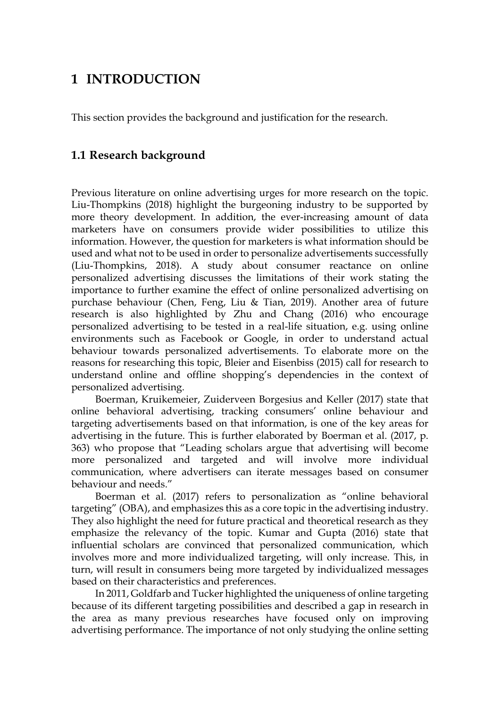# **1 INTRODUCTION**

This section provides the background and justification for the research.

# **1.1 Research background**

Previous literature on online advertising urges for more research on the topic. Liu-Thompkins (2018) highlight the burgeoning industry to be supported by more theory development. In addition, the ever-increasing amount of data marketers have on consumers provide wider possibilities to utilize this information. However, the question for marketers is what information should be used and what not to be used in order to personalize advertisements successfully (Liu-Thompkins, 2018). A study about consumer reactance on online personalized advertising discusses the limitations of their work stating the importance to further examine the effect of online personalized advertising on purchase behaviour (Chen, Feng, Liu & Tian, 2019). Another area of future research is also highlighted by Zhu and Chang (2016) who encourage personalized advertising to be tested in a real-life situation, e.g. using online environments such as Facebook or Google, in order to understand actual behaviour towards personalized advertisements. To elaborate more on the reasons for researching this topic, Bleier and Eisenbiss (2015) call for research to understand online and offline shopping's dependencies in the context of personalized advertising.

Boerman, Kruikemeier, Zuiderveen Borgesius and Keller (2017) state that online behavioral advertising, tracking consumers' online behaviour and targeting advertisements based on that information, is one of the key areas for advertising in the future. This is further elaborated by Boerman et al. (2017, p. 363) who propose that "Leading scholars argue that advertising will become more personalized and targeted and will involve more individual communication, where advertisers can iterate messages based on consumer behaviour and needs."

Boerman et al. (2017) refers to personalization as "online behavioral targeting" (OBA), and emphasizes this as a core topic in the advertising industry. They also highlight the need for future practical and theoretical research as they emphasize the relevancy of the topic. Kumar and Gupta (2016) state that influential scholars are convinced that personalized communication, which involves more and more individualized targeting, will only increase. This, in turn, will result in consumers being more targeted by individualized messages based on their characteristics and preferences.

In 2011, Goldfarb and Tucker highlighted the uniqueness of online targeting because of its different targeting possibilities and described a gap in research in the area as many previous researches have focused only on improving advertising performance. The importance of not only studying the online setting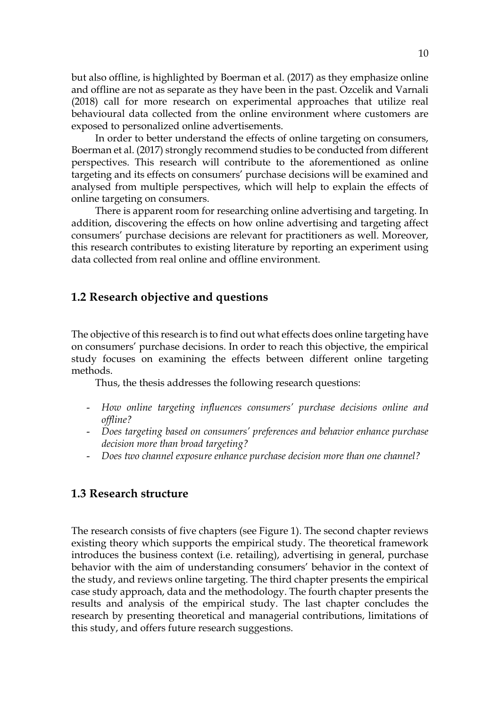but also offline, is highlighted by Boerman et al. (2017) as they emphasize online and offline are not as separate as they have been in the past. Ozcelik and Varnali (2018) call for more research on experimental approaches that utilize real behavioural data collected from the online environment where customers are exposed to personalized online advertisements.

In order to better understand the effects of online targeting on consumers, Boerman et al. (2017) strongly recommend studies to be conducted from different perspectives. This research will contribute to the aforementioned as online targeting and its effects on consumers' purchase decisions will be examined and analysed from multiple perspectives, which will help to explain the effects of online targeting on consumers.

There is apparent room for researching online advertising and targeting. In addition, discovering the effects on how online advertising and targeting affect consumers' purchase decisions are relevant for practitioners as well. Moreover, this research contributes to existing literature by reporting an experiment using data collected from real online and offline environment.

### **1.2 Research objective and questions**

The objective of this research is to find out what effects does online targeting have on consumers' purchase decisions. In order to reach this objective, the empirical study focuses on examining the effects between different online targeting methods.

Thus, the thesis addresses the following research questions:

- *How online targeting influences consumers' purchase decisions online and offline?*
- *Does targeting based on consumers' preferences and behavior enhance purchase decision more than broad targeting?*
- *Does two channel exposure enhance purchase decision more than one channel?*

## **1.3 Research structure**

The research consists of five chapters (see Figure 1). The second chapter reviews existing theory which supports the empirical study. The theoretical framework introduces the business context (i.e. retailing), advertising in general, purchase behavior with the aim of understanding consumers' behavior in the context of the study, and reviews online targeting. The third chapter presents the empirical case study approach, data and the methodology. The fourth chapter presents the results and analysis of the empirical study. The last chapter concludes the research by presenting theoretical and managerial contributions, limitations of this study, and offers future research suggestions.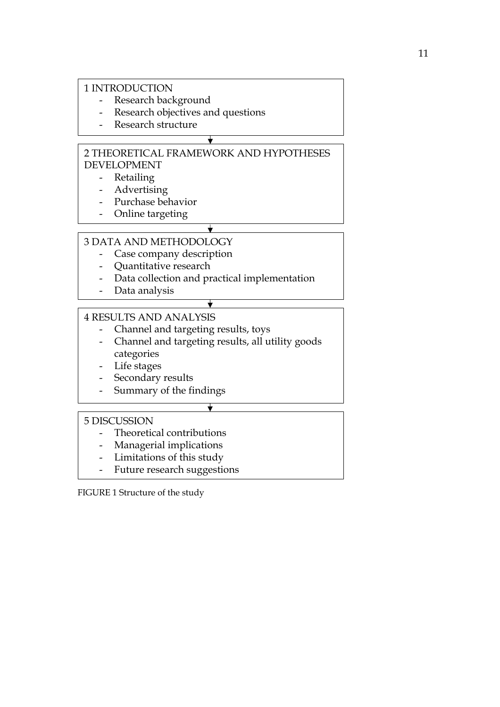### 1 INTRODUCTION

- Research background
- Research objectives and questions
- Research structure

## 2 THEORETICAL FRAMEWORK AND HYPOTHESES DEVELOPMENT

 $\overline{\mathbf{v}}$ 

- Retailing
- Advertising
- Purchase behavior
- Online targeting

# 3 DATA AND METHODOLOGY

- Case company description
- Quantitative research
- Data collection and practical implementation

 $\bigstar$ 

- Data analysis

# 4 RESULTS AND ANALYSIS

- Channel and targeting results, toys
- Channel and targeting results, all utility goods categories

↧

 $\overline{\mathbf{t}}$ 

- Life stages
- Secondary results
- Summary of the findings

## 5 DISCUSSION

- Theoretical contributions
- Managerial implications
- Limitations of this study
- Future research suggestions

FIGURE 1 Structure of the study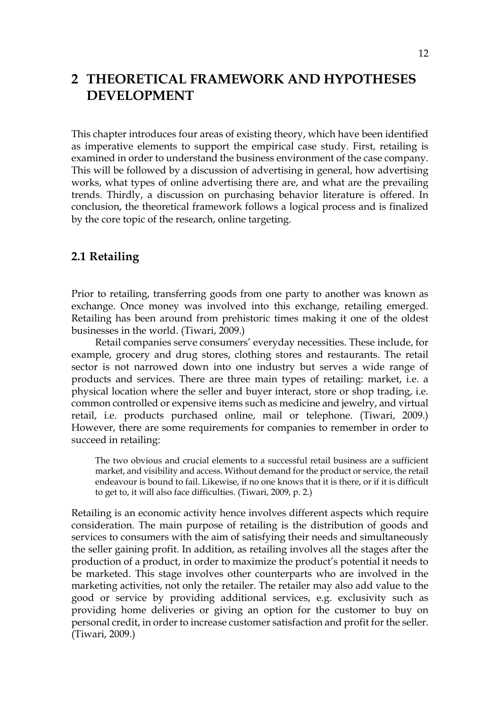# **2 THEORETICAL FRAMEWORK AND HYPOTHESES DEVELOPMENT**

This chapter introduces four areas of existing theory, which have been identified as imperative elements to support the empirical case study. First, retailing is examined in order to understand the business environment of the case company. This will be followed by a discussion of advertising in general, how advertising works, what types of online advertising there are, and what are the prevailing trends. Thirdly, a discussion on purchasing behavior literature is offered. In conclusion, the theoretical framework follows a logical process and is finalized by the core topic of the research, online targeting.

# **2.1 Retailing**

Prior to retailing, transferring goods from one party to another was known as exchange. Once money was involved into this exchange, retailing emerged. Retailing has been around from prehistoric times making it one of the oldest businesses in the world. (Tiwari, 2009.)

Retail companies serve consumers' everyday necessities. These include, for example, grocery and drug stores, clothing stores and restaurants. The retail sector is not narrowed down into one industry but serves a wide range of products and services. There are three main types of retailing: market, i.e. a physical location where the seller and buyer interact, store or shop trading, i.e. common controlled or expensive items such as medicine and jewelry, and virtual retail, i.e. products purchased online, mail or telephone. (Tiwari, 2009.) However, there are some requirements for companies to remember in order to succeed in retailing:

The two obvious and crucial elements to a successful retail business are a sufficient market, and visibility and access. Without demand for the product or service, the retail endeavour is bound to fail. Likewise, if no one knows that it is there, or if it is difficult to get to, it will also face difficulties. (Tiwari, 2009, p. 2.)

Retailing is an economic activity hence involves different aspects which require consideration. The main purpose of retailing is the distribution of goods and services to consumers with the aim of satisfying their needs and simultaneously the seller gaining profit. In addition, as retailing involves all the stages after the production of a product, in order to maximize the product's potential it needs to be marketed. This stage involves other counterparts who are involved in the marketing activities, not only the retailer. The retailer may also add value to the good or service by providing additional services, e.g. exclusivity such as providing home deliveries or giving an option for the customer to buy on personal credit, in order to increase customer satisfaction and profit for the seller. (Tiwari, 2009.)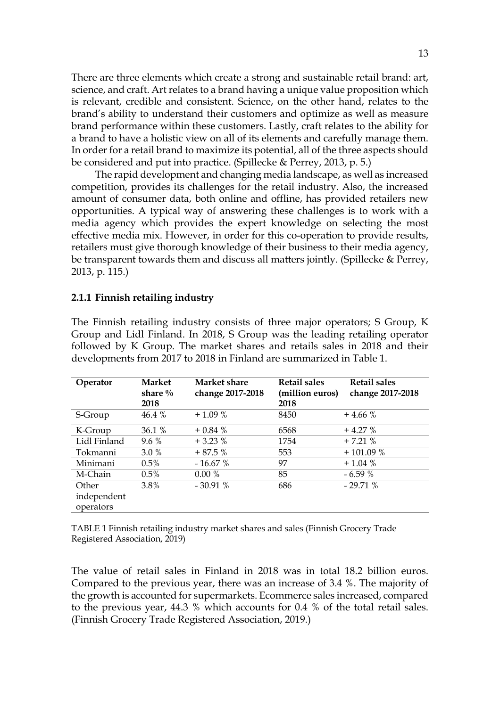There are three elements which create a strong and sustainable retail brand: art, science, and craft. Art relates to a brand having a unique value proposition which is relevant, credible and consistent. Science, on the other hand, relates to the brand's ability to understand their customers and optimize as well as measure brand performance within these customers. Lastly, craft relates to the ability for a brand to have a holistic view on all of its elements and carefully manage them. In order for a retail brand to maximize its potential, all of the three aspects should be considered and put into practice. (Spillecke & Perrey, 2013, p. 5.)

The rapid development and changing media landscape, as well as increased competition, provides its challenges for the retail industry. Also, the increased amount of consumer data, both online and offline, has provided retailers new opportunities. A typical way of answering these challenges is to work with a media agency which provides the expert knowledge on selecting the most effective media mix. However, in order for this co-operation to provide results, retailers must give thorough knowledge of their business to their media agency, be transparent towards them and discuss all matters jointly. (Spillecke & Perrey, 2013, p. 115.)

### **2.1.1 Finnish retailing industry**

The Finnish retailing industry consists of three major operators; S Group, K Group and Lidl Finland. In 2018, S Group was the leading retailing operator followed by K Group. The market shares and retails sales in 2018 and their developments from 2017 to 2018 in Finland are summarized in Table 1.

| Operator     | <b>Market</b><br>share $\%$<br>2018 | Market share<br>change 2017-2018 | <b>Retail sales</b><br>(million euros)<br>2018 | <b>Retail sales</b><br>change 2017-2018 |
|--------------|-------------------------------------|----------------------------------|------------------------------------------------|-----------------------------------------|
| S-Group      | 46.4%                               | $+1.09\%$                        | 8450                                           | $+4.66%$                                |
| K-Group      | 36.1 %                              | $+0.84%$                         | 6568                                           | $+4.27%$                                |
| Lidl Finland | $9.6\%$                             | $+3.23%$                         | 1754                                           | $+7.21%$                                |
| Tokmanni     | $3.0\%$                             | $+87.5%$                         | 553                                            | $+101.09%$                              |
| Minimani     | $0.5\%$                             | $-16.67%$                        | 97                                             | $+1.04%$                                |
| M-Chain      | $0.5\%$                             | $0.00\%$                         | 85                                             | $-6.59%$                                |
| Other        | 3.8%                                | $-30.91%$                        | 686                                            | $-29.71%$                               |
| independent  |                                     |                                  |                                                |                                         |
| operators    |                                     |                                  |                                                |                                         |

TABLE 1 Finnish retailing industry market shares and sales (Finnish Grocery Trade Registered Association, 2019)

The value of retail sales in Finland in 2018 was in total 18.2 billion euros. Compared to the previous year, there was an increase of 3.4 %. The majority of the growth is accounted for supermarkets. Ecommerce sales increased, compared to the previous year, 44.3 % which accounts for 0.4 % of the total retail sales. (Finnish Grocery Trade Registered Association, 2019.)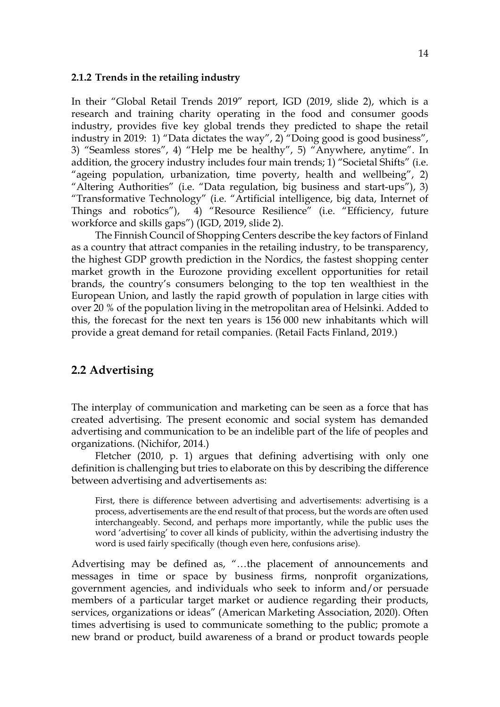#### **2.1.2 Trends in the retailing industry**

In their "Global Retail Trends 2019" report, IGD (2019, slide 2), which is a research and training charity operating in the food and consumer goods industry, provides five key global trends they predicted to shape the retail industry in 2019: 1) "Data dictates the way", 2) "Doing good is good business", 3) "Seamless stores", 4) "Help me be healthy", 5) "Anywhere, anytime". In addition, the grocery industry includes four main trends; 1) "Societal Shifts" (i.e. "ageing population, urbanization, time poverty, health and wellbeing", 2) "Altering Authorities" (i.e. "Data regulation, big business and start-ups"), 3) "Transformative Technology" (i.e. "Artificial intelligence, big data, Internet of Things and robotics"), 4) "Resource Resilience" (i.e. "Efficiency, future workforce and skills gaps") (IGD, 2019, slide 2).

The Finnish Council of Shopping Centers describe the key factors of Finland as a country that attract companies in the retailing industry, to be transparency, the highest GDP growth prediction in the Nordics, the fastest shopping center market growth in the Eurozone providing excellent opportunities for retail brands, the country's consumers belonging to the top ten wealthiest in the European Union, and lastly the rapid growth of population in large cities with over 20 % of the population living in the metropolitan area of Helsinki. Added to this, the forecast for the next ten years is 156 000 new inhabitants which will provide a great demand for retail companies. (Retail Facts Finland, 2019.)

## **2.2 Advertising**

The interplay of communication and marketing can be seen as a force that has created advertising. The present economic and social system has demanded advertising and communication to be an indelible part of the life of peoples and organizations. (Nichifor, 2014.)

Fletcher (2010, p. 1) argues that defining advertising with only one definition is challenging but tries to elaborate on this by describing the difference between advertising and advertisements as:

First, there is difference between advertising and advertisements: advertising is a process, advertisements are the end result of that process, but the words are often used interchangeably. Second, and perhaps more importantly, while the public uses the word 'advertising' to cover all kinds of publicity, within the advertising industry the word is used fairly specifically (though even here, confusions arise).

Advertising may be defined as, "…the placement of announcements and messages in time or space by business firms, nonprofit organizations, government agencies, and individuals who seek to inform and/or persuade members of a particular target market or audience regarding their products, services, organizations or ideas" (American Marketing Association, 2020). Often times advertising is used to communicate something to the public; promote a new brand or product, build awareness of a brand or product towards people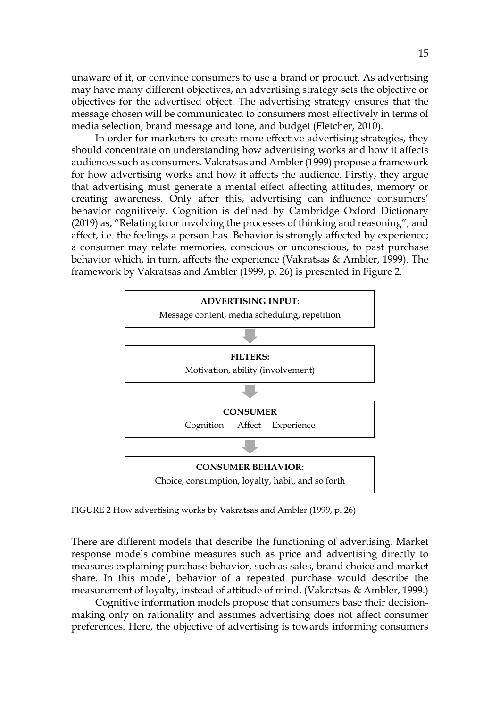unaware of it, or convince consumers to use a brand or product. As advertising may have many different objectives, an advertising strategy sets the objective or objectives for the advertised object. The advertising strategy ensures that the message chosen will be communicated to consumers most effectively in terms of media selection, brand message and tone, and budget (Fletcher, 2010).

In order for marketers to create more effective advertising strategies, they should concentrate on understanding how advertising works and how it affects audiences such as consumers. Vakratsas and Ambler (1999) propose a framework for how advertising works and how it affects the audience. Firstly, they argue that advertising must generate a mental effect affecting attitudes, memory or creating awareness. Only after this, advertising can influence consumers' behavior cognitively. Cognition is defined by Cambridge Oxford Dictionary (2019) as, "Relating to or involving the processes of thinking and reasoning", and affect, i.e. the feelings a person has. Behavior is strongly affected by experience; a consumer may relate memories, conscious or unconscious, to past purchase behavior which, in turn, affects the experience (Vakratsas & Ambler, 1999). The framework by Vakratsas and Ambler (1999, p. 26) is presented in Figure 2.



FIGURE 2 How advertising works by Vakratsas and Ambler (1999, p. 26)

There are different models that describe the functioning of advertising. Market response models combine measures such as price and advertising directly to measures explaining purchase behavior, such as sales, brand choice and market share. In this model, behavior of a repeated purchase would describe the measurement of loyalty, instead of attitude of mind. (Vakratsas & Ambler, 1999.)

Cognitive information models propose that consumers base their decisionmaking only on rationality and assumes advertising does not affect consumer preferences. Here, the objective of advertising is towards informing consumers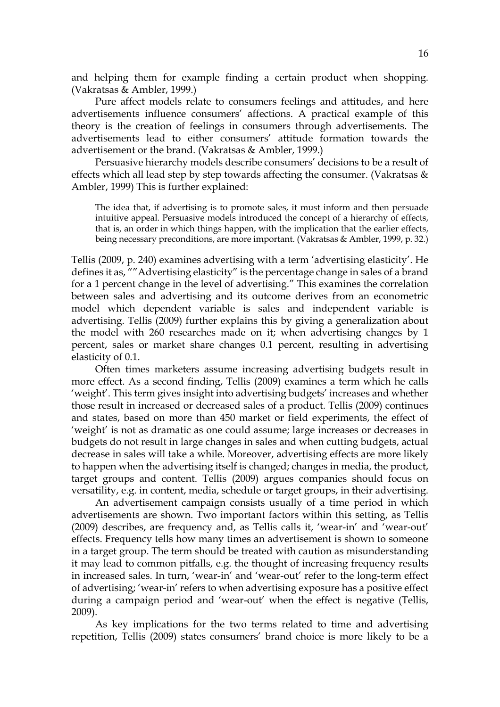and helping them for example finding a certain product when shopping. (Vakratsas & Ambler, 1999.)

Pure affect models relate to consumers feelings and attitudes, and here advertisements influence consumers' affections. A practical example of this theory is the creation of feelings in consumers through advertisements. The advertisements lead to either consumers' attitude formation towards the advertisement or the brand. (Vakratsas & Ambler, 1999.)

Persuasive hierarchy models describe consumers' decisions to be a result of effects which all lead step by step towards affecting the consumer. (Vakratsas & Ambler, 1999) This is further explained:

The idea that, if advertising is to promote sales, it must inform and then persuade intuitive appeal. Persuasive models introduced the concept of a hierarchy of effects, that is, an order in which things happen, with the implication that the earlier effects, being necessary preconditions, are more important. (Vakratsas & Ambler, 1999, p. 32.)

Tellis (2009, p. 240) examines advertising with a term 'advertising elasticity'. He defines it as, ""Advertising elasticity" is the percentage change in sales of a brand for a 1 percent change in the level of advertising." This examines the correlation between sales and advertising and its outcome derives from an econometric model which dependent variable is sales and independent variable is advertising. Tellis (2009) further explains this by giving a generalization about the model with 260 researches made on it; when advertising changes by 1 percent, sales or market share changes 0.1 percent, resulting in advertising elasticity of 0.1.

Often times marketers assume increasing advertising budgets result in more effect. As a second finding, Tellis (2009) examines a term which he calls 'weight'. This term gives insight into advertising budgets' increases and whether those result in increased or decreased sales of a product. Tellis (2009) continues and states, based on more than 450 market or field experiments, the effect of 'weight' is not as dramatic as one could assume; large increases or decreases in budgets do not result in large changes in sales and when cutting budgets, actual decrease in sales will take a while. Moreover, advertising effects are more likely to happen when the advertising itself is changed; changes in media, the product, target groups and content. Tellis (2009) argues companies should focus on versatility, e.g. in content, media, schedule or target groups, in their advertising.

An advertisement campaign consists usually of a time period in which advertisements are shown. Two important factors within this setting, as Tellis (2009) describes, are frequency and, as Tellis calls it, 'wear-in' and 'wear-out' effects. Frequency tells how many times an advertisement is shown to someone in a target group. The term should be treated with caution as misunderstanding it may lead to common pitfalls, e.g. the thought of increasing frequency results in increased sales. In turn, 'wear-in' and 'wear-out' refer to the long-term effect of advertising; 'wear-in' refers to when advertising exposure has a positive effect during a campaign period and 'wear-out' when the effect is negative (Tellis, 2009).

As key implications for the two terms related to time and advertising repetition, Tellis (2009) states consumers' brand choice is more likely to be a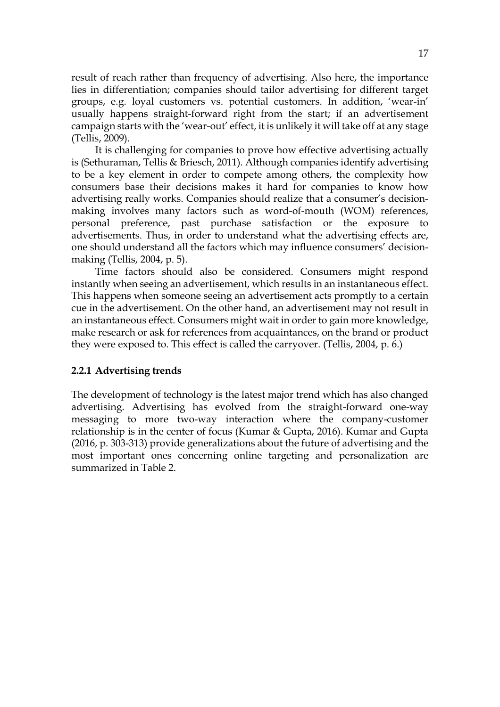result of reach rather than frequency of advertising. Also here, the importance lies in differentiation; companies should tailor advertising for different target groups, e.g. loyal customers vs. potential customers. In addition, 'wear-in' usually happens straight-forward right from the start; if an advertisement campaign starts with the 'wear-out' effect, it is unlikely it will take off at any stage (Tellis, 2009).

It is challenging for companies to prove how effective advertising actually is (Sethuraman, Tellis & Briesch, 2011). Although companies identify advertising to be a key element in order to compete among others, the complexity how consumers base their decisions makes it hard for companies to know how advertising really works. Companies should realize that a consumer's decisionmaking involves many factors such as word-of-mouth (WOM) references, personal preference, past purchase satisfaction or the exposure to advertisements. Thus, in order to understand what the advertising effects are, one should understand all the factors which may influence consumers' decisionmaking (Tellis, 2004, p. 5).

Time factors should also be considered. Consumers might respond instantly when seeing an advertisement, which results in an instantaneous effect. This happens when someone seeing an advertisement acts promptly to a certain cue in the advertisement. On the other hand, an advertisement may not result in an instantaneous effect. Consumers might wait in order to gain more knowledge, make research or ask for references from acquaintances, on the brand or product they were exposed to. This effect is called the carryover. (Tellis, 2004, p. 6.)

#### **2.2.1 Advertising trends**

The development of technology is the latest major trend which has also changed advertising. Advertising has evolved from the straight-forward one-way messaging to more two-way interaction where the company-customer relationship is in the center of focus (Kumar & Gupta, 2016). Kumar and Gupta (2016, p. 303-313) provide generalizations about the future of advertising and the most important ones concerning online targeting and personalization are summarized in Table 2.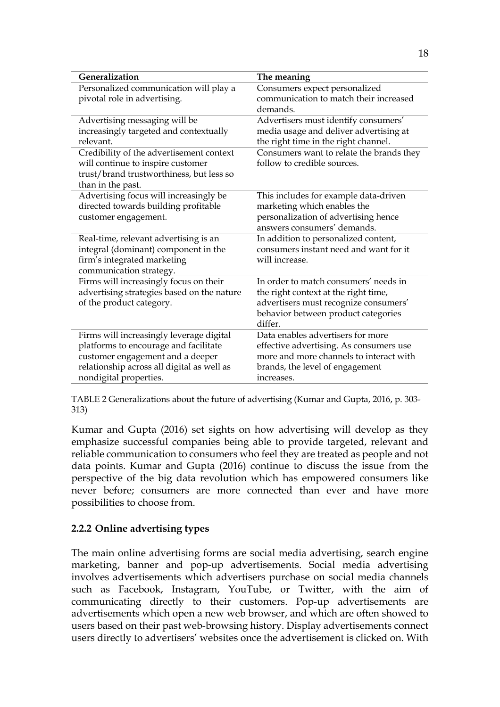| Generalization                             | The meaning                              |
|--------------------------------------------|------------------------------------------|
| Personalized communication will play a     | Consumers expect personalized            |
| pivotal role in advertising.               | communication to match their increased   |
|                                            | demands.                                 |
| Advertising messaging will be              | Advertisers must identify consumers'     |
| increasingly targeted and contextually     | media usage and deliver advertising at   |
| relevant.                                  | the right time in the right channel.     |
| Credibility of the advertisement context   | Consumers want to relate the brands they |
| will continue to inspire customer          | follow to credible sources.              |
| trust/brand trustworthiness, but less so   |                                          |
| than in the past.                          |                                          |
| Advertising focus will increasingly be     | This includes for example data-driven    |
| directed towards building profitable       | marketing which enables the              |
| customer engagement.                       | personalization of advertising hence     |
|                                            | answers consumers' demands.              |
| Real-time, relevant advertising is an      | In addition to personalized content,     |
| integral (dominant) component in the       | consumers instant need and want for it   |
| firm's integrated marketing                | will increase.                           |
| communication strategy.                    |                                          |
| Firms will increasingly focus on their     | In order to match consumers' needs in    |
| advertising strategies based on the nature | the right context at the right time,     |
| of the product category.                   | advertisers must recognize consumers'    |
|                                            | behavior between product categories      |
|                                            | differ.                                  |
| Firms will increasingly leverage digital   | Data enables advertisers for more        |
| platforms to encourage and facilitate      | effective advertising. As consumers use  |
| customer engagement and a deeper           | more and more channels to interact with  |
| relationship across all digital as well as | brands, the level of engagement          |
| nondigital properties.                     | increases.                               |

TABLE 2 Generalizations about the future of advertising (Kumar and Gupta, 2016, p. 303- 313)

Kumar and Gupta (2016) set sights on how advertising will develop as they emphasize successful companies being able to provide targeted, relevant and reliable communication to consumers who feel they are treated as people and not data points. Kumar and Gupta (2016) continue to discuss the issue from the perspective of the big data revolution which has empowered consumers like never before; consumers are more connected than ever and have more possibilities to choose from.

## **2.2.2 Online advertising types**

The main online advertising forms are social media advertising, search engine marketing, banner and pop-up advertisements. Social media advertising involves advertisements which advertisers purchase on social media channels such as Facebook, Instagram, YouTube, or Twitter, with the aim of communicating directly to their customers. Pop-up advertisements are advertisements which open a new web browser, and which are often showed to users based on their past web-browsing history. Display advertisements connect users directly to advertisers' websites once the advertisement is clicked on. With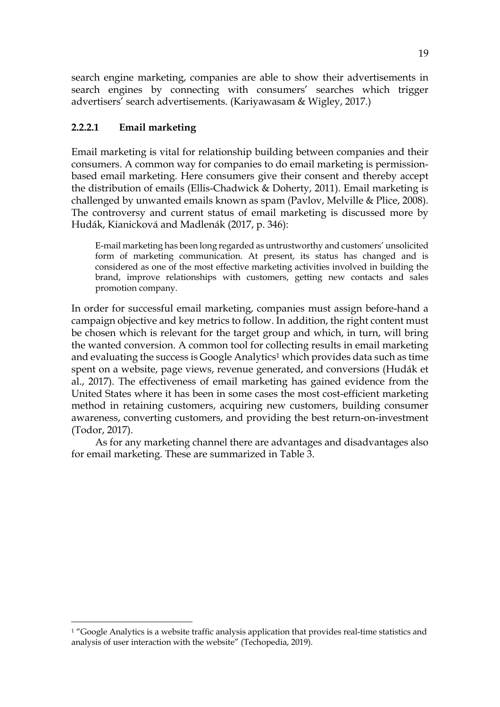search engine marketing, companies are able to show their advertisements in search engines by connecting with consumers' searches which trigger advertisers' search advertisements. (Kariyawasam & Wigley, 2017.)

# **2.2.2.1 Email marketing**

Email marketing is vital for relationship building between companies and their consumers. A common way for companies to do email marketing is permissionbased email marketing. Here consumers give their consent and thereby accept the distribution of emails (Ellis-Chadwick & Doherty, 2011). Email marketing is challenged by unwanted emails known as spam (Pavlov, Melville & Plice, 2008). The controversy and current status of email marketing is discussed more by Hudák, Kianicková and Madlenák (2017, p. 346):

E-mail marketing has been long regarded as untrustworthy and customers' unsolicited form of marketing communication. At present, its status has changed and is considered as one of the most effective marketing activities involved in building the brand, improve relationships with customers, getting new contacts and sales promotion company.

In order for successful email marketing, companies must assign before-hand a campaign objective and key metrics to follow. In addition, the right content must be chosen which is relevant for the target group and which, in turn, will bring the wanted conversion. A common tool for collecting results in email marketing and evaluating the success is Google Analytics<sup>1</sup> which provides data such as time spent on a website, page views, revenue generated, and conversions (Hudák et al., 2017). The effectiveness of email marketing has gained evidence from the United States where it has been in some cases the most cost-efficient marketing method in retaining customers, acquiring new customers, building consumer awareness, converting customers, and providing the best return-on-investment (Todor, 2017).

As for any marketing channel there are advantages and disadvantages also for email marketing. These are summarized in Table 3.

 $1$  "Google Analytics is a website traffic analysis application that provides real-time statistics and analysis of user interaction with the website" (Techopedia, 2019).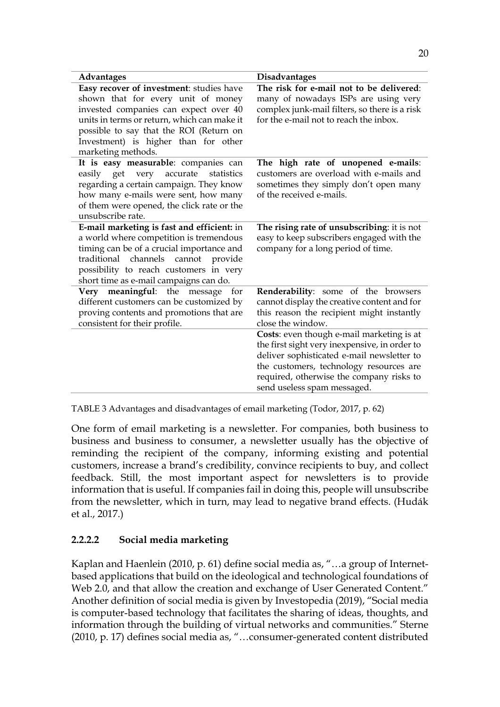| <b>Advantages</b>                                                                                                                                                                                                                                                               | <b>Disadvantages</b>                                                                                                                                                                                                                                           |
|---------------------------------------------------------------------------------------------------------------------------------------------------------------------------------------------------------------------------------------------------------------------------------|----------------------------------------------------------------------------------------------------------------------------------------------------------------------------------------------------------------------------------------------------------------|
| Easy recover of investment: studies have<br>shown that for every unit of money<br>invested companies can expect over 40<br>units in terms or return, which can make it<br>possible to say that the ROI (Return on<br>Investment) is higher than for other<br>marketing methods. | The risk for e-mail not to be delivered:<br>many of nowadays ISPs are using very<br>complex junk-mail filters, so there is a risk<br>for the e-mail not to reach the inbox.                                                                                    |
| It is easy measurable: companies can<br>easily get very<br>accurate<br>statistics<br>regarding a certain campaign. They know<br>how many e-mails were sent, how many<br>of them were opened, the click rate or the<br>unsubscribe rate.                                         | The high rate of unopened e-mails:<br>customers are overload with e-mails and<br>sometimes they simply don't open many<br>of the received e-mails.                                                                                                             |
| E-mail marketing is fast and efficient: in<br>a world where competition is tremendous<br>timing can be of a crucial importance and<br>traditional channels<br>cannot<br>provide<br>possibility to reach customers in very<br>short time as e-mail campaigns can do.             | The rising rate of unsubscribing: it is not<br>easy to keep subscribers engaged with the<br>company for a long period of time.                                                                                                                                 |
| Very meaningful: the message<br>for<br>different customers can be customized by<br>proving contents and promotions that are<br>consistent for their profile.                                                                                                                    | Renderability: some of the browsers<br>cannot display the creative content and for<br>this reason the recipient might instantly<br>close the window.                                                                                                           |
|                                                                                                                                                                                                                                                                                 | Costs: even though e-mail marketing is at<br>the first sight very inexpensive, in order to<br>deliver sophisticated e-mail newsletter to<br>the customers, technology resources are<br>required, otherwise the company risks to<br>send useless spam messaged. |

TABLE 3 Advantages and disadvantages of email marketing (Todor, 2017, p. 62)

One form of email marketing is a newsletter. For companies, both business to business and business to consumer, a newsletter usually has the objective of reminding the recipient of the company, informing existing and potential customers, increase a brand's credibility, convince recipients to buy, and collect feedback. Still, the most important aspect for newsletters is to provide information that is useful. If companies fail in doing this, people will unsubscribe from the newsletter, which in turn, may lead to negative brand effects. (Hudák et al., 2017.)

## **2.2.2.2 Social media marketing**

Kaplan and Haenlein (2010, p. 61) define social media as, "…a group of Internetbased applications that build on the ideological and technological foundations of Web 2.0, and that allow the creation and exchange of User Generated Content." Another definition of social media is given by Investopedia (2019), "Social media is computer-based technology that facilitates the sharing of ideas, thoughts, and information through the building of virtual networks and communities." Sterne (2010, p. 17) defines social media as, "…consumer-generated content distributed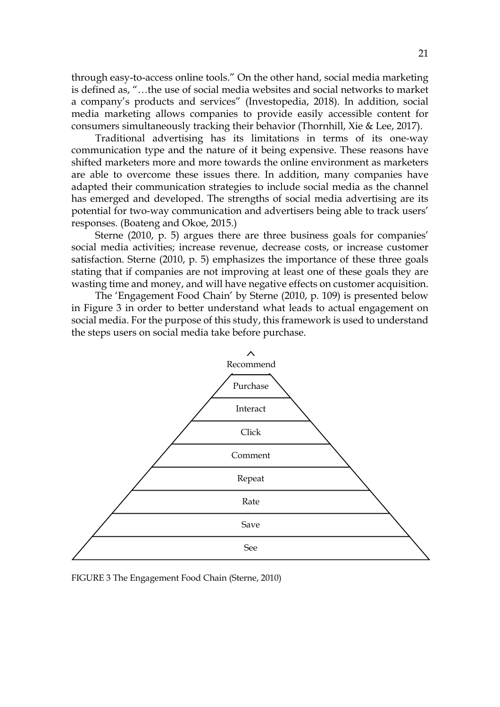through easy-to-access online tools." On the other hand, social media marketing is defined as, "…the use of social media websites and social networks to market a company's products and services" (Investopedia, 2018). In addition, social media marketing allows companies to provide easily accessible content for consumers simultaneously tracking their behavior (Thornhill, Xie & Lee, 2017).

Traditional advertising has its limitations in terms of its one-way communication type and the nature of it being expensive. These reasons have shifted marketers more and more towards the online environment as marketers are able to overcome these issues there. In addition, many companies have adapted their communication strategies to include social media as the channel has emerged and developed. The strengths of social media advertising are its potential for two-way communication and advertisers being able to track users' responses. (Boateng and Okoe, 2015.)

Sterne (2010, p. 5) argues there are three business goals for companies' social media activities; increase revenue, decrease costs, or increase customer satisfaction. Sterne (2010, p. 5) emphasizes the importance of these three goals stating that if companies are not improving at least one of these goals they are wasting time and money, and will have negative effects on customer acquisition.

The 'Engagement Food Chain' by Sterne (2010, p. 109) is presented below in Figure 3 in order to better understand what leads to actual engagement on social media. For the purpose of this study, this framework is used to understand the steps users on social media take before purchase.



FIGURE 3 The Engagement Food Chain (Sterne, 2010)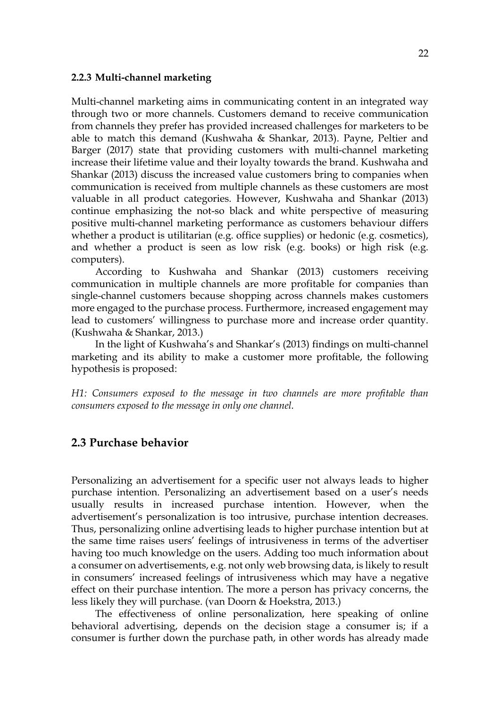#### **2.2.3 Multi-channel marketing**

Multi-channel marketing aims in communicating content in an integrated way through two or more channels. Customers demand to receive communication from channels they prefer has provided increased challenges for marketers to be able to match this demand (Kushwaha & Shankar, 2013). Payne, Peltier and Barger (2017) state that providing customers with multi-channel marketing increase their lifetime value and their loyalty towards the brand. Kushwaha and Shankar (2013) discuss the increased value customers bring to companies when communication is received from multiple channels as these customers are most valuable in all product categories. However, Kushwaha and Shankar (2013) continue emphasizing the not-so black and white perspective of measuring positive multi-channel marketing performance as customers behaviour differs whether a product is utilitarian (e.g. office supplies) or hedonic (e.g. cosmetics), and whether a product is seen as low risk (e.g. books) or high risk (e.g. computers).

According to Kushwaha and Shankar (2013) customers receiving communication in multiple channels are more profitable for companies than single-channel customers because shopping across channels makes customers more engaged to the purchase process. Furthermore, increased engagement may lead to customers' willingness to purchase more and increase order quantity. (Kushwaha & Shankar, 2013.)

In the light of Kushwaha's and Shankar's (2013) findings on multi-channel marketing and its ability to make a customer more profitable, the following hypothesis is proposed:

*H1: Consumers exposed to the message in two channels are more profitable than consumers exposed to the message in only one channel.*

## **2.3 Purchase behavior**

Personalizing an advertisement for a specific user not always leads to higher purchase intention. Personalizing an advertisement based on a user's needs usually results in increased purchase intention. However, when the advertisement's personalization is too intrusive, purchase intention decreases. Thus, personalizing online advertising leads to higher purchase intention but at the same time raises users' feelings of intrusiveness in terms of the advertiser having too much knowledge on the users. Adding too much information about a consumer on advertisements, e.g. not only web browsing data, is likely to result in consumers' increased feelings of intrusiveness which may have a negative effect on their purchase intention. The more a person has privacy concerns, the less likely they will purchase. (van Doorn & Hoekstra, 2013.)

The effectiveness of online personalization, here speaking of online behavioral advertising, depends on the decision stage a consumer is; if a consumer is further down the purchase path, in other words has already made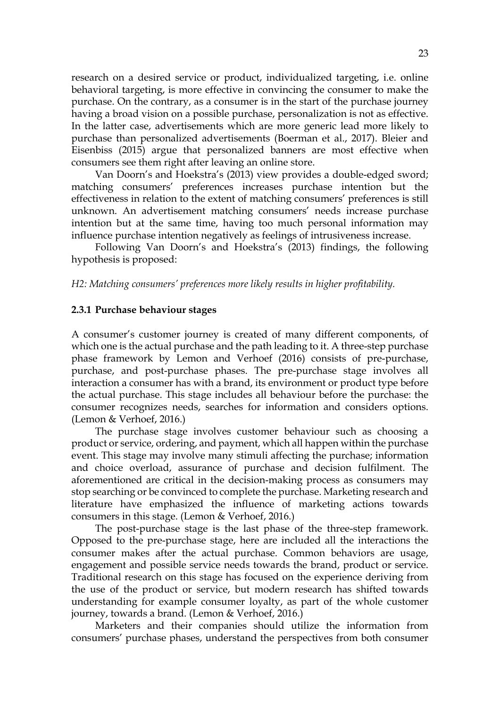research on a desired service or product, individualized targeting, i.e. online behavioral targeting, is more effective in convincing the consumer to make the purchase. On the contrary, as a consumer is in the start of the purchase journey having a broad vision on a possible purchase, personalization is not as effective. In the latter case, advertisements which are more generic lead more likely to purchase than personalized advertisements (Boerman et al., 2017). Bleier and Eisenbiss (2015) argue that personalized banners are most effective when consumers see them right after leaving an online store.

Van Doorn's and Hoekstra's (2013) view provides a double-edged sword; matching consumers' preferences increases purchase intention but the effectiveness in relation to the extent of matching consumers' preferences is still unknown. An advertisement matching consumers' needs increase purchase intention but at the same time, having too much personal information may influence purchase intention negatively as feelings of intrusiveness increase.

Following Van Doorn's and Hoekstra's (2013) findings, the following hypothesis is proposed:

#### *H2: Matching consumers' preferences more likely results in higher profitability.*

#### **2.3.1 Purchase behaviour stages**

A consumer's customer journey is created of many different components, of which one is the actual purchase and the path leading to it. A three-step purchase phase framework by Lemon and Verhoef (2016) consists of pre-purchase, purchase, and post-purchase phases. The pre-purchase stage involves all interaction a consumer has with a brand, its environment or product type before the actual purchase. This stage includes all behaviour before the purchase: the consumer recognizes needs, searches for information and considers options. (Lemon & Verhoef, 2016.)

The purchase stage involves customer behaviour such as choosing a product or service, ordering, and payment, which all happen within the purchase event. This stage may involve many stimuli affecting the purchase; information and choice overload, assurance of purchase and decision fulfilment. The aforementioned are critical in the decision-making process as consumers may stop searching or be convinced to complete the purchase. Marketing research and literature have emphasized the influence of marketing actions towards consumers in this stage. (Lemon & Verhoef, 2016.)

The post-purchase stage is the last phase of the three-step framework. Opposed to the pre-purchase stage, here are included all the interactions the consumer makes after the actual purchase. Common behaviors are usage, engagement and possible service needs towards the brand, product or service. Traditional research on this stage has focused on the experience deriving from the use of the product or service, but modern research has shifted towards understanding for example consumer loyalty, as part of the whole customer journey, towards a brand. (Lemon & Verhoef, 2016.)

Marketers and their companies should utilize the information from consumers' purchase phases, understand the perspectives from both consumer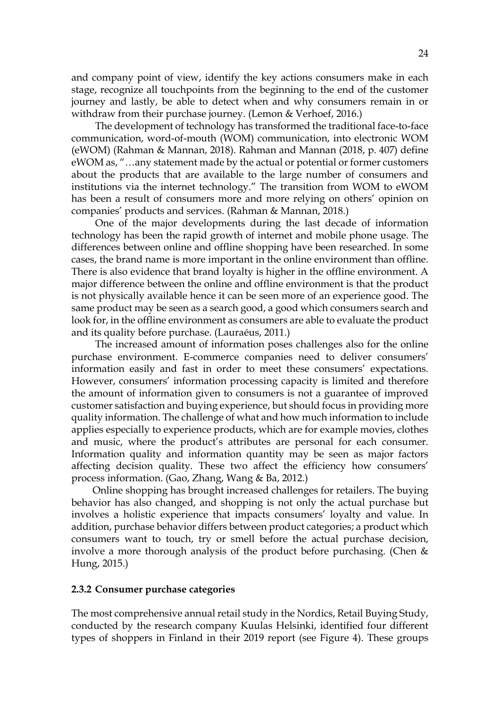and company point of view, identify the key actions consumers make in each stage, recognize all touchpoints from the beginning to the end of the customer journey and lastly, be able to detect when and why consumers remain in or withdraw from their purchase journey. (Lemon & Verhoef, 2016.)

The development of technology has transformed the traditional face-to-face communication, word-of-mouth (WOM) communication, into electronic WOM (eWOM) (Rahman & Mannan, 2018). Rahman and Mannan (2018, p. 407) define eWOM as, "…any statement made by the actual or potential or former customers about the products that are available to the large number of consumers and institutions via the internet technology." The transition from WOM to eWOM has been a result of consumers more and more relying on others' opinion on companies' products and services. (Rahman & Mannan, 2018.)

One of the major developments during the last decade of information technology has been the rapid growth of internet and mobile phone usage. The differences between online and offline shopping have been researched. In some cases, the brand name is more important in the online environment than offline. There is also evidence that brand loyalty is higher in the offline environment. A major difference between the online and offline environment is that the product is not physically available hence it can be seen more of an experience good. The same product may be seen as a search good, a good which consumers search and look for, in the offline environment as consumers are able to evaluate the product and its quality before purchase. (Lauraéus, 2011.)

The increased amount of information poses challenges also for the online purchase environment. E-commerce companies need to deliver consumers' information easily and fast in order to meet these consumers' expectations. However, consumers' information processing capacity is limited and therefore the amount of information given to consumers is not a guarantee of improved customer satisfaction and buying experience, but should focus in providing more quality information. The challenge of what and how much information to include applies especially to experience products, which are for example movies, clothes and music, where the product's attributes are personal for each consumer. Information quality and information quantity may be seen as major factors affecting decision quality. These two affect the efficiency how consumers' process information. (Gao, Zhang, Wang & Ba, 2012.)

Online shopping has brought increased challenges for retailers. The buying behavior has also changed, and shopping is not only the actual purchase but involves a holistic experience that impacts consumers' loyalty and value. In addition, purchase behavior differs between product categories; a product which consumers want to touch, try or smell before the actual purchase decision, involve a more thorough analysis of the product before purchasing. (Chen & Hung, 2015.)

#### **2.3.2 Consumer purchase categories**

The most comprehensive annual retail study in the Nordics, Retail Buying Study, conducted by the research company Kuulas Helsinki, identified four different types of shoppers in Finland in their 2019 report (see Figure 4). These groups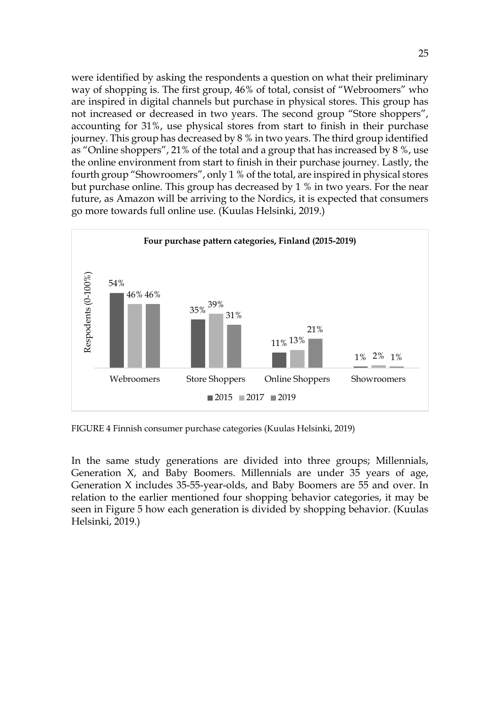were identified by asking the respondents a question on what their preliminary way of shopping is. The first group, 46% of total, consist of "Webroomers" who are inspired in digital channels but purchase in physical stores. This group has not increased or decreased in two years. The second group "Store shoppers", accounting for 31%, use physical stores from start to finish in their purchase journey. This group has decreased by 8 % in two years. The third group identified as "Online shoppers", 21% of the total and a group that has increased by 8 %, use the online environment from start to finish in their purchase journey. Lastly, the fourth group "Showroomers", only 1 % of the total, are inspired in physical stores but purchase online. This group has decreased by 1 % in two years. For the near future, as Amazon will be arriving to the Nordics, it is expected that consumers go more towards full online use. (Kuulas Helsinki, 2019.)



FIGURE 4 Finnish consumer purchase categories (Kuulas Helsinki, 2019)

In the same study generations are divided into three groups; Millennials, Generation X, and Baby Boomers. Millennials are under 35 years of age, Generation X includes 35-55-year-olds, and Baby Boomers are 55 and over. In relation to the earlier mentioned four shopping behavior categories, it may be seen in Figure 5 how each generation is divided by shopping behavior. (Kuulas Helsinki, 2019.)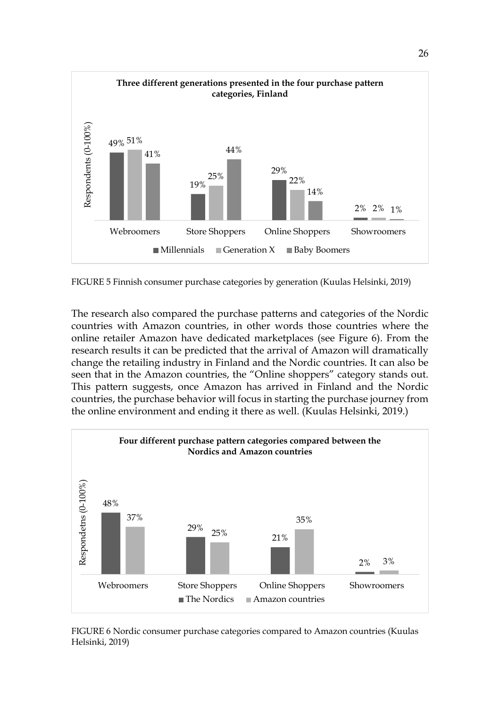

FIGURE 5 Finnish consumer purchase categories by generation (Kuulas Helsinki, 2019)

The research also compared the purchase patterns and categories of the Nordic countries with Amazon countries, in other words those countries where the online retailer Amazon have dedicated marketplaces (see Figure 6). From the research results it can be predicted that the arrival of Amazon will dramatically change the retailing industry in Finland and the Nordic countries. It can also be seen that in the Amazon countries, the "Online shoppers" category stands out. This pattern suggests, once Amazon has arrived in Finland and the Nordic countries, the purchase behavior will focus in starting the purchase journey from the online environment and ending it there as well. (Kuulas Helsinki, 2019.)



FIGURE 6 Nordic consumer purchase categories compared to Amazon countries (Kuulas Helsinki, 2019)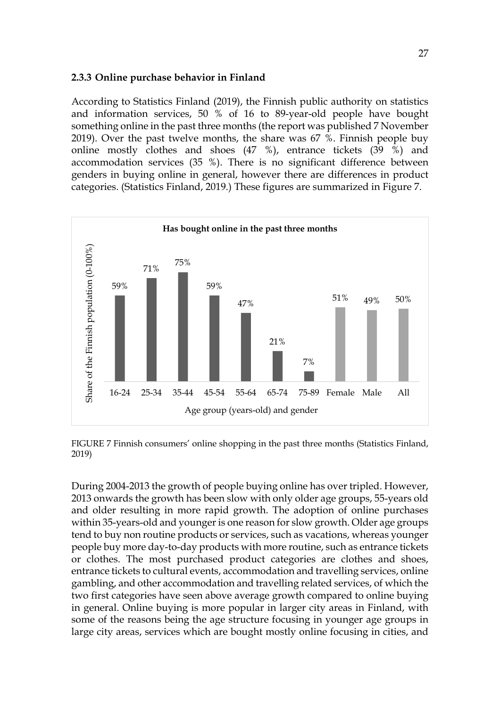### **2.3.3 Online purchase behavior in Finland**

According to Statistics Finland (2019), the Finnish public authority on statistics and information services, 50 % of 16 to 89-year-old people have bought something online in the past three months (the report was published 7 November 2019). Over the past twelve months, the share was 67 %. Finnish people buy online mostly clothes and shoes (47 %), entrance tickets (39 %) and accommodation services (35 %). There is no significant difference between genders in buying online in general, however there are differences in product categories. (Statistics Finland, 2019.) These figures are summarized in Figure 7.



FIGURE 7 Finnish consumers' online shopping in the past three months (Statistics Finland, 2019)

During 2004-2013 the growth of people buying online has over tripled. However, 2013 onwards the growth has been slow with only older age groups, 55-years old and older resulting in more rapid growth. The adoption of online purchases within 35-years-old and younger is one reason for slow growth. Older age groups tend to buy non routine products or services, such as vacations, whereas younger people buy more day-to-day products with more routine, such as entrance tickets or clothes. The most purchased product categories are clothes and shoes, entrance tickets to cultural events, accommodation and travelling services, online gambling, and other accommodation and travelling related services, of which the two first categories have seen above average growth compared to online buying in general. Online buying is more popular in larger city areas in Finland, with some of the reasons being the age structure focusing in younger age groups in large city areas, services which are bought mostly online focusing in cities, and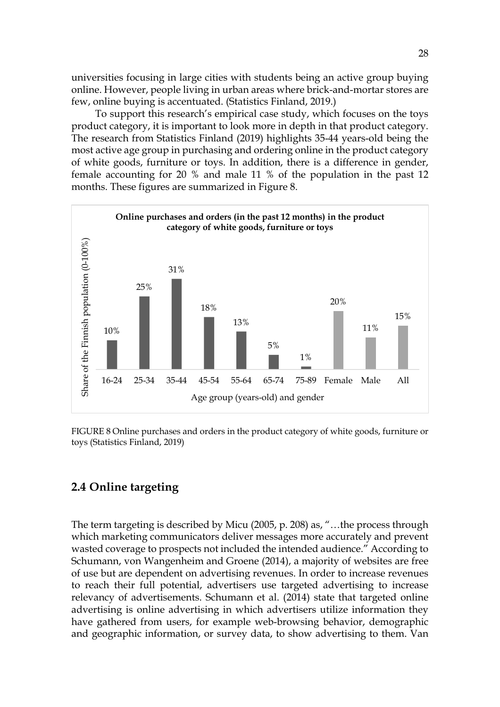universities focusing in large cities with students being an active group buying online. However, people living in urban areas where brick-and-mortar stores are few, online buying is accentuated. (Statistics Finland, 2019.)

To support this research's empirical case study, which focuses on the toys product category, it is important to look more in depth in that product category. The research from Statistics Finland (2019) highlights 35-44 years-old being the most active age group in purchasing and ordering online in the product category of white goods, furniture or toys. In addition, there is a difference in gender, female accounting for 20 % and male 11 % of the population in the past 12 months. These figures are summarized in Figure 8.



FIGURE 8 Online purchases and orders in the product category of white goods, furniture or toys (Statistics Finland, 2019)

# **2.4 Online targeting**

The term targeting is described by Micu (2005, p. 208) as, "…the process through which marketing communicators deliver messages more accurately and prevent wasted coverage to prospects not included the intended audience." According to Schumann, von Wangenheim and Groene (2014), a majority of websites are free of use but are dependent on advertising revenues. In order to increase revenues to reach their full potential, advertisers use targeted advertising to increase relevancy of advertisements. Schumann et al. (2014) state that targeted online advertising is online advertising in which advertisers utilize information they have gathered from users, for example web-browsing behavior, demographic and geographic information, or survey data, to show advertising to them. Van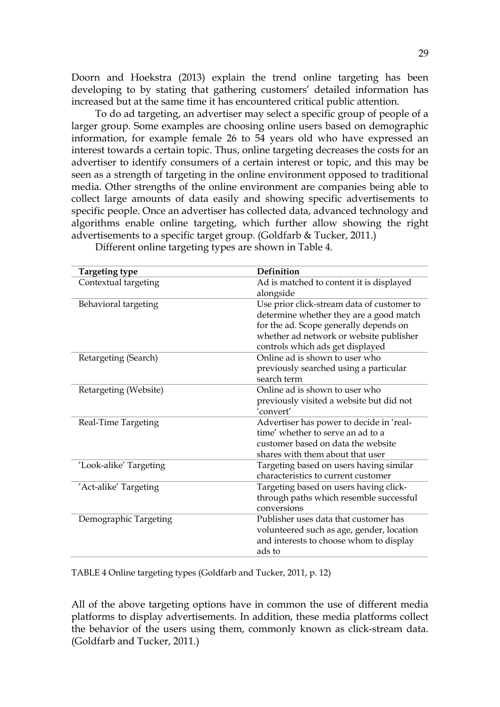Doorn and Hoekstra (2013) explain the trend online targeting has been developing to by stating that gathering customers' detailed information has increased but at the same time it has encountered critical public attention.

To do ad targeting, an advertiser may select a specific group of people of a larger group. Some examples are choosing online users based on demographic information, for example female 26 to 54 years old who have expressed an interest towards a certain topic. Thus, online targeting decreases the costs for an advertiser to identify consumers of a certain interest or topic, and this may be seen as a strength of targeting in the online environment opposed to traditional media. Other strengths of the online environment are companies being able to collect large amounts of data easily and showing specific advertisements to specific people. Once an advertiser has collected data, advanced technology and algorithms enable online targeting, which further allow showing the right advertisements to a specific target group. (Goldfarb & Tucker, 2011.)

| <b>Targeting type</b>  | Definition                                 |
|------------------------|--------------------------------------------|
| Contextual targeting   | Ad is matched to content it is displayed   |
|                        | alongside                                  |
| Behavioral targeting   | Use prior click-stream data of customer to |
|                        | determine whether they are a good match    |
|                        | for the ad. Scope generally depends on     |
|                        | whether ad network or website publisher    |
|                        | controls which ads get displayed           |
| Retargeting (Search)   | Online ad is shown to user who             |
|                        | previously searched using a particular     |
|                        | search term                                |
| Retargeting (Website)  | Online ad is shown to user who             |
|                        | previously visited a website but did not   |
|                        | 'convert'                                  |
| Real-Time Targeting    | Advertiser has power to decide in 'real-   |
|                        | time' whether to serve an ad to a          |
|                        | customer based on data the website         |
|                        | shares with them about that user           |
| 'Look-alike' Targeting | Targeting based on users having similar    |
|                        | characteristics to current customer        |
| 'Act-alike' Targeting  | Targeting based on users having click-     |
|                        | through paths which resemble successful    |
|                        | conversions                                |
| Demographic Targeting  | Publisher uses data that customer has      |
|                        | volunteered such as age, gender, location  |
|                        | and interests to choose whom to display    |
|                        | ads to                                     |

Different online targeting types are shown in Table 4.

TABLE 4 Online targeting types (Goldfarb and Tucker, 2011, p. 12)

All of the above targeting options have in common the use of different media platforms to display advertisements. In addition, these media platforms collect the behavior of the users using them, commonly known as click-stream data. (Goldfarb and Tucker, 2011.)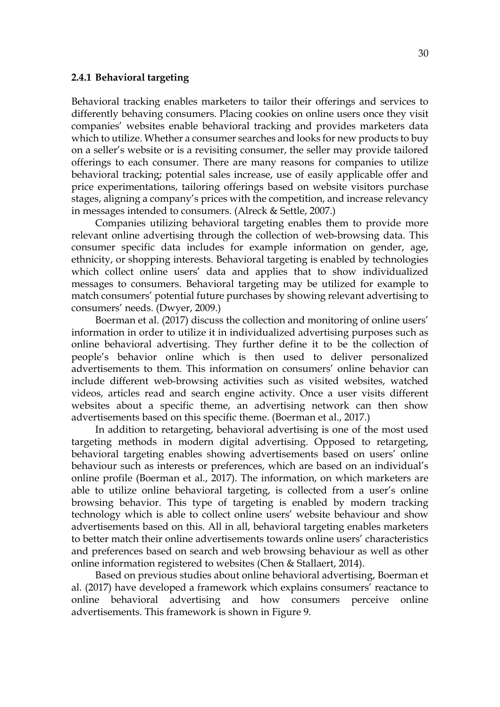#### **2.4.1 Behavioral targeting**

Behavioral tracking enables marketers to tailor their offerings and services to differently behaving consumers. Placing cookies on online users once they visit companies' websites enable behavioral tracking and provides marketers data which to utilize. Whether a consumer searches and looks for new products to buy on a seller's website or is a revisiting consumer, the seller may provide tailored offerings to each consumer. There are many reasons for companies to utilize behavioral tracking; potential sales increase, use of easily applicable offer and price experimentations, tailoring offerings based on website visitors purchase stages, aligning a company's prices with the competition, and increase relevancy in messages intended to consumers. (Alreck & Settle, 2007.)

Companies utilizing behavioral targeting enables them to provide more relevant online advertising through the collection of web-browsing data. This consumer specific data includes for example information on gender, age, ethnicity, or shopping interests. Behavioral targeting is enabled by technologies which collect online users' data and applies that to show individualized messages to consumers. Behavioral targeting may be utilized for example to match consumers' potential future purchases by showing relevant advertising to consumers' needs. (Dwyer, 2009.)

Boerman et al. (2017) discuss the collection and monitoring of online users' information in order to utilize it in individualized advertising purposes such as online behavioral advertising. They further define it to be the collection of people's behavior online which is then used to deliver personalized advertisements to them. This information on consumers' online behavior can include different web-browsing activities such as visited websites, watched videos, articles read and search engine activity. Once a user visits different websites about a specific theme, an advertising network can then show advertisements based on this specific theme. (Boerman et al., 2017.)

In addition to retargeting, behavioral advertising is one of the most used targeting methods in modern digital advertising. Opposed to retargeting, behavioral targeting enables showing advertisements based on users' online behaviour such as interests or preferences, which are based on an individual's online profile (Boerman et al., 2017). The information, on which marketers are able to utilize online behavioral targeting, is collected from a user's online browsing behavior. This type of targeting is enabled by modern tracking technology which is able to collect online users' website behaviour and show advertisements based on this. All in all, behavioral targeting enables marketers to better match their online advertisements towards online users' characteristics and preferences based on search and web browsing behaviour as well as other online information registered to websites (Chen & Stallaert, 2014).

Based on previous studies about online behavioral advertising, Boerman et al. (2017) have developed a framework which explains consumers' reactance to online behavioral advertising and how consumers perceive online advertisements. This framework is shown in Figure 9.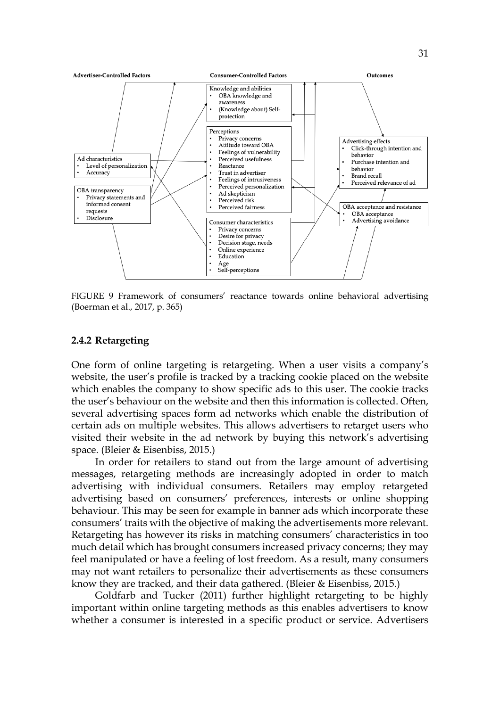

FIGURE 9 Framework of consumers' reactance towards online behavioral advertising (Boerman et al., 2017, p. 365)

### **2.4.2 Retargeting**

One form of online targeting is retargeting. When a user visits a company's website, the user's profile is tracked by a tracking cookie placed on the website which enables the company to show specific ads to this user. The cookie tracks the user's behaviour on the website and then this information is collected. Often, several advertising spaces form ad networks which enable the distribution of certain ads on multiple websites. This allows advertisers to retarget users who visited their website in the ad network by buying this network's advertising space. (Bleier & Eisenbiss, 2015.)

In order for retailers to stand out from the large amount of advertising messages, retargeting methods are increasingly adopted in order to match advertising with individual consumers. Retailers may employ retargeted advertising based on consumers' preferences, interests or online shopping behaviour. This may be seen for example in banner ads which incorporate these consumers' traits with the objective of making the advertisements more relevant. Retargeting has however its risks in matching consumers' characteristics in too much detail which has brought consumers increased privacy concerns; they may feel manipulated or have a feeling of lost freedom. As a result, many consumers may not want retailers to personalize their advertisements as these consumers know they are tracked, and their data gathered. (Bleier & Eisenbiss, 2015.)

Goldfarb and Tucker (2011) further highlight retargeting to be highly important within online targeting methods as this enables advertisers to know whether a consumer is interested in a specific product or service. Advertisers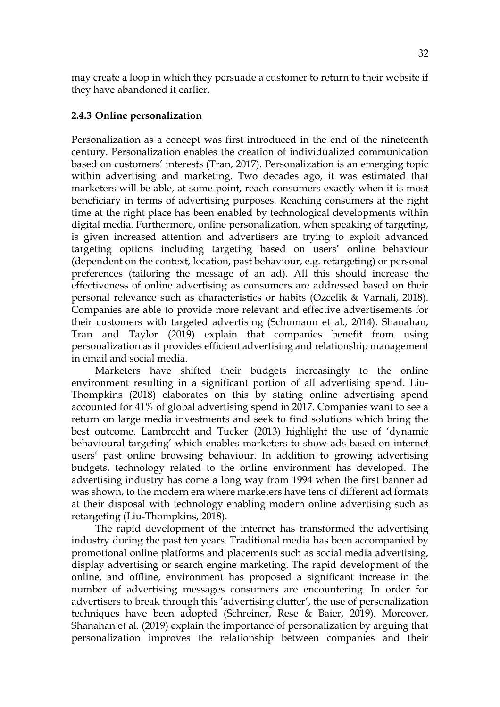may create a loop in which they persuade a customer to return to their website if they have abandoned it earlier.

### **2.4.3 Online personalization**

Personalization as a concept was first introduced in the end of the nineteenth century. Personalization enables the creation of individualized communication based on customers' interests (Tran, 2017). Personalization is an emerging topic within advertising and marketing. Two decades ago, it was estimated that marketers will be able, at some point, reach consumers exactly when it is most beneficiary in terms of advertising purposes. Reaching consumers at the right time at the right place has been enabled by technological developments within digital media. Furthermore, online personalization, when speaking of targeting, is given increased attention and advertisers are trying to exploit advanced targeting options including targeting based on users' online behaviour (dependent on the context, location, past behaviour, e.g. retargeting) or personal preferences (tailoring the message of an ad). All this should increase the effectiveness of online advertising as consumers are addressed based on their personal relevance such as characteristics or habits (Ozcelik & Varnali, 2018). Companies are able to provide more relevant and effective advertisements for their customers with targeted advertising (Schumann et al., 2014). Shanahan, Tran and Taylor (2019) explain that companies benefit from using personalization as it provides efficient advertising and relationship management in email and social media.

Marketers have shifted their budgets increasingly to the online environment resulting in a significant portion of all advertising spend. Liu-Thompkins (2018) elaborates on this by stating online advertising spend accounted for 41% of global advertising spend in 2017. Companies want to see a return on large media investments and seek to find solutions which bring the best outcome. Lambrecht and Tucker (2013) highlight the use of 'dynamic behavioural targeting' which enables marketers to show ads based on internet users' past online browsing behaviour. In addition to growing advertising budgets, technology related to the online environment has developed. The advertising industry has come a long way from 1994 when the first banner ad was shown, to the modern era where marketers have tens of different ad formats at their disposal with technology enabling modern online advertising such as retargeting (Liu-Thompkins, 2018).

The rapid development of the internet has transformed the advertising industry during the past ten years. Traditional media has been accompanied by promotional online platforms and placements such as social media advertising, display advertising or search engine marketing. The rapid development of the online, and offline, environment has proposed a significant increase in the number of advertising messages consumers are encountering. In order for advertisers to break through this 'advertising clutter', the use of personalization techniques have been adopted (Schreiner, Rese & Baier, 2019). Moreover, Shanahan et al. (2019) explain the importance of personalization by arguing that personalization improves the relationship between companies and their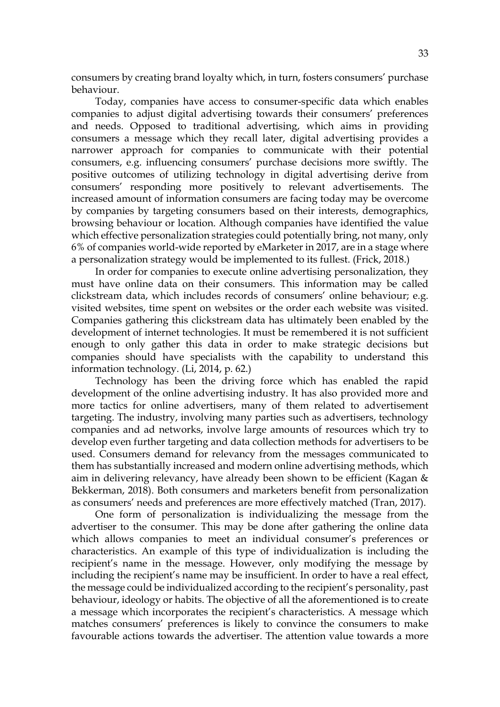consumers by creating brand loyalty which, in turn, fosters consumers' purchase behaviour.

Today, companies have access to consumer-specific data which enables companies to adjust digital advertising towards their consumers' preferences and needs. Opposed to traditional advertising, which aims in providing consumers a message which they recall later, digital advertising provides a narrower approach for companies to communicate with their potential consumers, e.g. influencing consumers' purchase decisions more swiftly. The positive outcomes of utilizing technology in digital advertising derive from consumers' responding more positively to relevant advertisements. The increased amount of information consumers are facing today may be overcome by companies by targeting consumers based on their interests, demographics, browsing behaviour or location. Although companies have identified the value which effective personalization strategies could potentially bring, not many, only 6% of companies world-wide reported by eMarketer in 2017, are in a stage where a personalization strategy would be implemented to its fullest. (Frick, 2018.)

In order for companies to execute online advertising personalization, they must have online data on their consumers. This information may be called clickstream data, which includes records of consumers' online behaviour; e.g. visited websites, time spent on websites or the order each website was visited. Companies gathering this clickstream data has ultimately been enabled by the development of internet technologies. It must be remembered it is not sufficient enough to only gather this data in order to make strategic decisions but companies should have specialists with the capability to understand this information technology. (Li, 2014, p. 62.)

Technology has been the driving force which has enabled the rapid development of the online advertising industry. It has also provided more and more tactics for online advertisers, many of them related to advertisement targeting. The industry, involving many parties such as advertisers, technology companies and ad networks, involve large amounts of resources which try to develop even further targeting and data collection methods for advertisers to be used. Consumers demand for relevancy from the messages communicated to them has substantially increased and modern online advertising methods, which aim in delivering relevancy, have already been shown to be efficient (Kagan & Bekkerman, 2018). Both consumers and marketers benefit from personalization as consumers' needs and preferences are more effectively matched (Tran, 2017).

One form of personalization is individualizing the message from the advertiser to the consumer. This may be done after gathering the online data which allows companies to meet an individual consumer's preferences or characteristics. An example of this type of individualization is including the recipient's name in the message. However, only modifying the message by including the recipient's name may be insufficient. In order to have a real effect, the message could be individualized according to the recipient's personality, past behaviour, ideology or habits. The objective of all the aforementioned is to create a message which incorporates the recipient's characteristics. A message which matches consumers' preferences is likely to convince the consumers to make favourable actions towards the advertiser. The attention value towards a more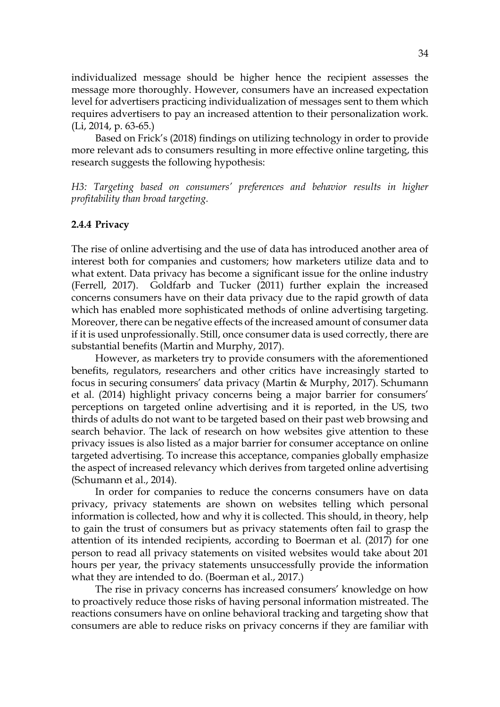individualized message should be higher hence the recipient assesses the message more thoroughly. However, consumers have an increased expectation level for advertisers practicing individualization of messages sent to them which requires advertisers to pay an increased attention to their personalization work. (Li, 2014, p. 63-65.)

Based on Frick's (2018) findings on utilizing technology in order to provide more relevant ads to consumers resulting in more effective online targeting, this research suggests the following hypothesis:

*H3: Targeting based on consumers' preferences and behavior results in higher profitability than broad targeting.*

#### **2.4.4 Privacy**

The rise of online advertising and the use of data has introduced another area of interest both for companies and customers; how marketers utilize data and to what extent. Data privacy has become a significant issue for the online industry (Ferrell, 2017). Goldfarb and Tucker (2011) further explain the increased concerns consumers have on their data privacy due to the rapid growth of data which has enabled more sophisticated methods of online advertising targeting. Moreover, there can be negative effects of the increased amount of consumer data if it is used unprofessionally. Still, once consumer data is used correctly, there are substantial benefits (Martin and Murphy, 2017).

However, as marketers try to provide consumers with the aforementioned benefits, regulators, researchers and other critics have increasingly started to focus in securing consumers' data privacy (Martin & Murphy, 2017). Schumann et al. (2014) highlight privacy concerns being a major barrier for consumers' perceptions on targeted online advertising and it is reported, in the US, two thirds of adults do not want to be targeted based on their past web browsing and search behavior. The lack of research on how websites give attention to these privacy issues is also listed as a major barrier for consumer acceptance on online targeted advertising. To increase this acceptance, companies globally emphasize the aspect of increased relevancy which derives from targeted online advertising (Schumann et al., 2014).

In order for companies to reduce the concerns consumers have on data privacy, privacy statements are shown on websites telling which personal information is collected, how and why it is collected. This should, in theory, help to gain the trust of consumers but as privacy statements often fail to grasp the attention of its intended recipients, according to Boerman et al. (2017) for one person to read all privacy statements on visited websites would take about 201 hours per year, the privacy statements unsuccessfully provide the information what they are intended to do. (Boerman et al., 2017.)

The rise in privacy concerns has increased consumers' knowledge on how to proactively reduce those risks of having personal information mistreated. The reactions consumers have on online behavioral tracking and targeting show that consumers are able to reduce risks on privacy concerns if they are familiar with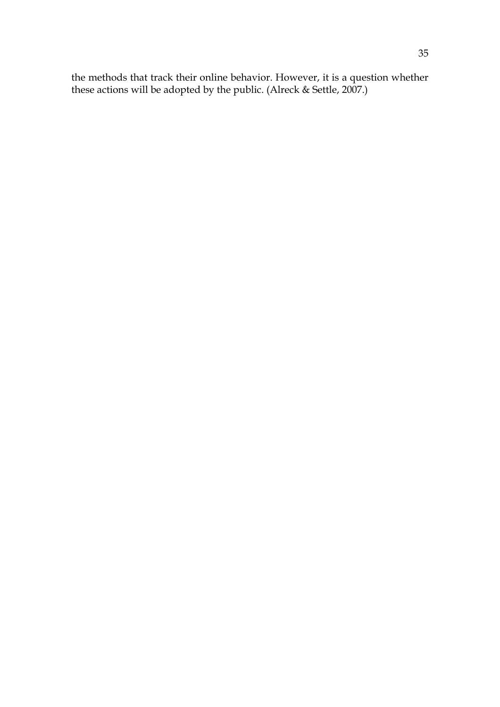the methods that track their online behavior. However, it is a question whether these actions will be adopted by the public. (Alreck & Settle, 2007.)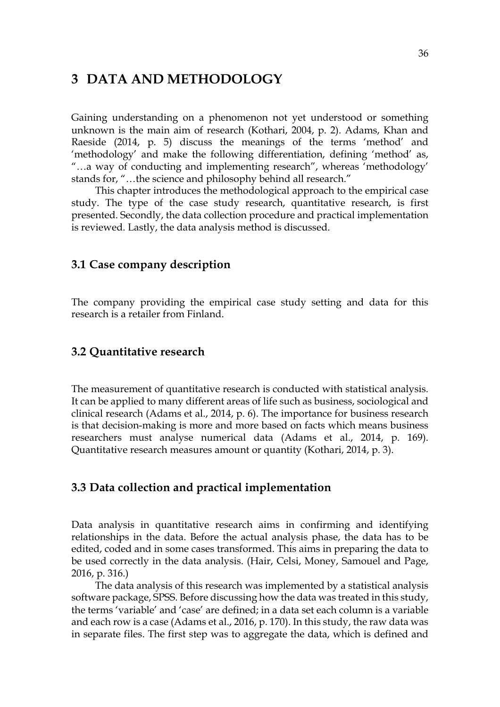# **3 DATA AND METHODOLOGY**

Gaining understanding on a phenomenon not yet understood or something unknown is the main aim of research (Kothari, 2004, p. 2). Adams, Khan and Raeside (2014, p. 5) discuss the meanings of the terms 'method' and 'methodology' and make the following differentiation, defining 'method' as, "…a way of conducting and implementing research", whereas 'methodology' stands for, "…the science and philosophy behind all research."

This chapter introduces the methodological approach to the empirical case study. The type of the case study research, quantitative research, is first presented. Secondly, the data collection procedure and practical implementation is reviewed. Lastly, the data analysis method is discussed.

## **3.1 Case company description**

The company providing the empirical case study setting and data for this research is a retailer from Finland.

### **3.2 Quantitative research**

The measurement of quantitative research is conducted with statistical analysis. It can be applied to many different areas of life such as business, sociological and clinical research (Adams et al., 2014, p. 6). The importance for business research is that decision-making is more and more based on facts which means business researchers must analyse numerical data (Adams et al., 2014, p. 169). Quantitative research measures amount or quantity (Kothari, 2014, p. 3).

### **3.3 Data collection and practical implementation**

Data analysis in quantitative research aims in confirming and identifying relationships in the data. Before the actual analysis phase, the data has to be edited, coded and in some cases transformed. This aims in preparing the data to be used correctly in the data analysis. (Hair, Celsi, Money, Samouel and Page, 2016, p. 316.)

The data analysis of this research was implemented by a statistical analysis software package, SPSS. Before discussing how the data was treated in this study, the terms 'variable' and 'case' are defined; in a data set each column is a variable and each row is a case (Adams et al., 2016, p. 170). In this study, the raw data was in separate files. The first step was to aggregate the data, which is defined and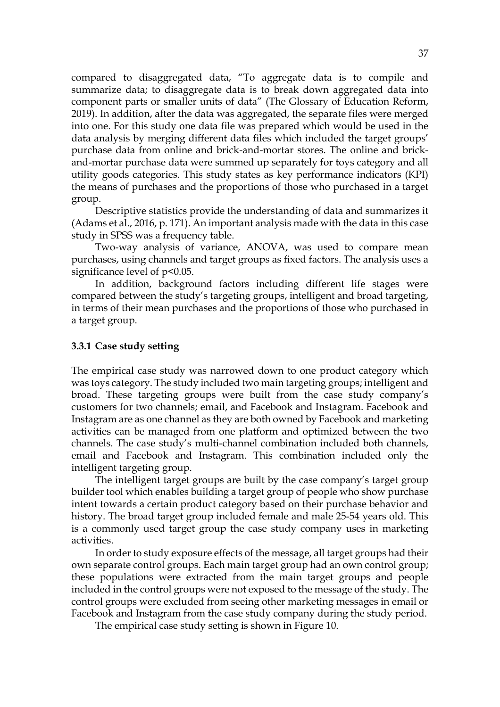compared to disaggregated data, "To aggregate data is to compile and summarize data; to disaggregate data is to break down aggregated data into component parts or smaller units of data" (The Glossary of Education Reform, 2019). In addition, after the data was aggregated, the separate files were merged into one. For this study one data file was prepared which would be used in the data analysis by merging different data files which included the target groups' purchase data from online and brick-and-mortar stores. The online and brickand-mortar purchase data were summed up separately for toys category and all utility goods categories. This study states as key performance indicators (KPI) the means of purchases and the proportions of those who purchased in a target group.

Descriptive statistics provide the understanding of data and summarizes it (Adams et al., 2016, p. 171). An important analysis made with the data in this case study in SPSS was a frequency table.

Two-way analysis of variance, ANOVA, was used to compare mean purchases, using channels and target groups as fixed factors. The analysis uses a significance level of  $p<0.05$ .

In addition, background factors including different life stages were compared between the study's targeting groups, intelligent and broad targeting, in terms of their mean purchases and the proportions of those who purchased in a target group.

### **3.3.1 Case study setting**

The empirical case study was narrowed down to one product category which was toys category. The study included two main targeting groups; intelligent and broad. These targeting groups were built from the case study company's customers for two channels; email, and Facebook and Instagram. Facebook and Instagram are as one channel as they are both owned by Facebook and marketing activities can be managed from one platform and optimized between the two channels. The case study's multi-channel combination included both channels, email and Facebook and Instagram. This combination included only the intelligent targeting group.

The intelligent target groups are built by the case company's target group builder tool which enables building a target group of people who show purchase intent towards a certain product category based on their purchase behavior and history. The broad target group included female and male 25-54 years old. This is a commonly used target group the case study company uses in marketing activities.

In order to study exposure effects of the message, all target groups had their own separate control groups. Each main target group had an own control group; these populations were extracted from the main target groups and people included in the control groups were not exposed to the message of the study. The control groups were excluded from seeing other marketing messages in email or Facebook and Instagram from the case study company during the study period.

The empirical case study setting is shown in Figure 10.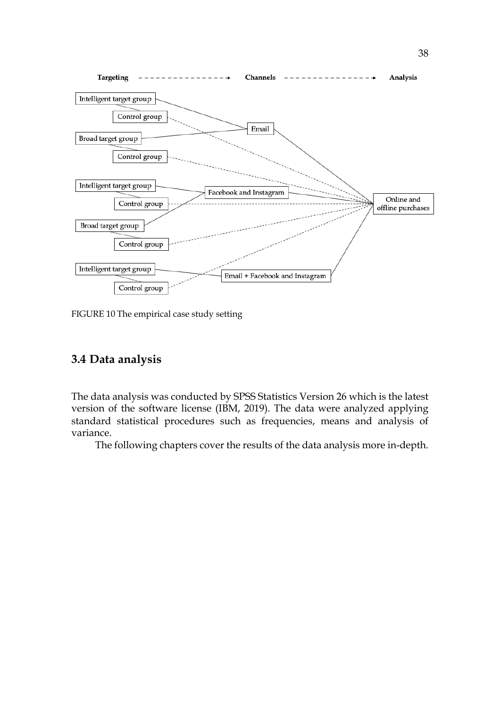

FIGURE 10 The empirical case study setting

# **3.4 Data analysis**

The data analysis was conducted by SPSS Statistics Version 26 which is the latest version of the software license (IBM, 2019). The data were analyzed applying standard statistical procedures such as frequencies, means and analysis of variance.

The following chapters cover the results of the data analysis more in-depth.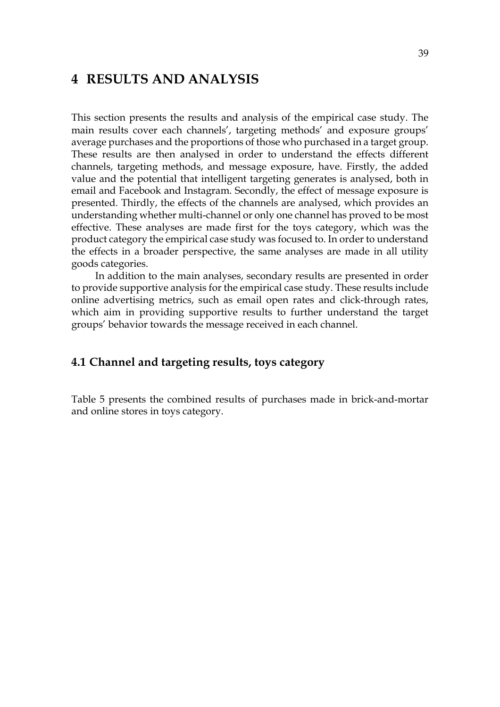# **4 RESULTS AND ANALYSIS**

This section presents the results and analysis of the empirical case study. The main results cover each channels', targeting methods' and exposure groups' average purchases and the proportions of those who purchased in a target group. These results are then analysed in order to understand the effects different channels, targeting methods, and message exposure, have. Firstly, the added value and the potential that intelligent targeting generates is analysed, both in email and Facebook and Instagram. Secondly, the effect of message exposure is presented. Thirdly, the effects of the channels are analysed, which provides an understanding whether multi-channel or only one channel has proved to be most effective. These analyses are made first for the toys category, which was the product category the empirical case study was focused to. In order to understand the effects in a broader perspective, the same analyses are made in all utility goods categories.

In addition to the main analyses, secondary results are presented in order to provide supportive analysis for the empirical case study. These results include online advertising metrics, such as email open rates and click-through rates, which aim in providing supportive results to further understand the target groups' behavior towards the message received in each channel.

# **4.1 Channel and targeting results, toys category**

Table 5 presents the combined results of purchases made in brick-and-mortar and online stores in toys category.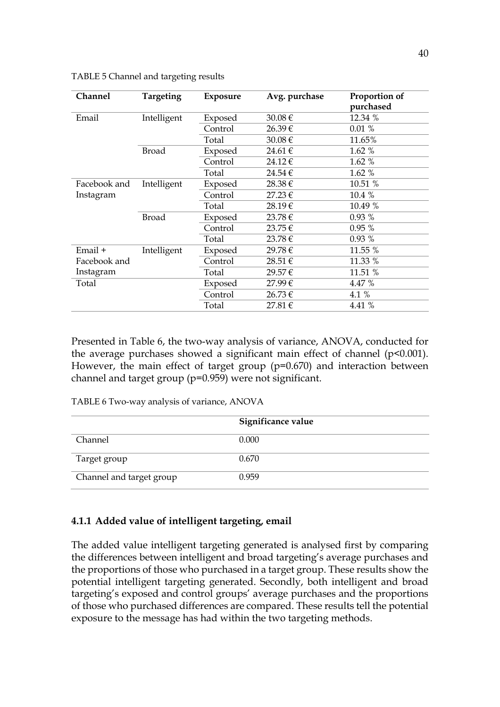| <b>Channel</b> | Targeting    | <b>Exposure</b> | Avg. purchase | Proportion of<br>purchased |
|----------------|--------------|-----------------|---------------|----------------------------|
| Email          | Intelligent  | Exposed         | 30.08€        | 12.34 %                    |
|                |              | Control         | 26.39€        | 0.01%                      |
|                |              | Total           | $30.08 \in$   | 11.65%                     |
|                | Broad        | Exposed         | 24.61€        | 1.62 %                     |
|                |              | Control         | 24.12€        | 1.62 %                     |
|                |              | Total           | 24.54€        | 1.62 %                     |
| Facebook and   | Intelligent  | Exposed         | 28.38€        | 10.51 %                    |
| Instagram      |              | Control         | 27.23€        | 10.4%                      |
|                |              | Total           | 28.19€        | 10.49 %                    |
|                | <b>Broad</b> | Exposed         | 23.78€        | 0.93 %                     |
|                |              | Control         | $23.75 \in$   | 0.95%                      |
|                |              | Total           | 23.78 €       | 0.93%                      |
| Email +        | Intelligent  | Exposed         | 29.78€        | 11.55 %                    |
| Facebook and   |              | Control         | 28.51€        | 11.33 %                    |
| Instagram      |              | Total           | 29.57€        | 11.51 %                    |
| Total          |              | Exposed         | 27.99€        | 4.47 %                     |
|                |              | Control         | 26.73€        | 4.1 %                      |
|                |              | Total           | 27.81€        | 4.41 %                     |

TABLE 5 Channel and targeting results

Presented in Table 6, the two-way analysis of variance, ANOVA, conducted for the average purchases showed a significant main effect of channel  $(p<0.001)$ . However, the main effect of target group (p=0.670) and interaction between channel and target group (p=0.959) were not significant.

TABLE 6 Two-way analysis of variance, ANOVA

|                          | Significance value |
|--------------------------|--------------------|
| Channel                  | 0.000              |
| Target group             | 0.670              |
| Channel and target group | 0.959              |

### **4.1.1 Added value of intelligent targeting, email**

The added value intelligent targeting generated is analysed first by comparing the differences between intelligent and broad targeting's average purchases and the proportions of those who purchased in a target group. These results show the potential intelligent targeting generated. Secondly, both intelligent and broad targeting's exposed and control groups' average purchases and the proportions of those who purchased differences are compared. These results tell the potential exposure to the message has had within the two targeting methods.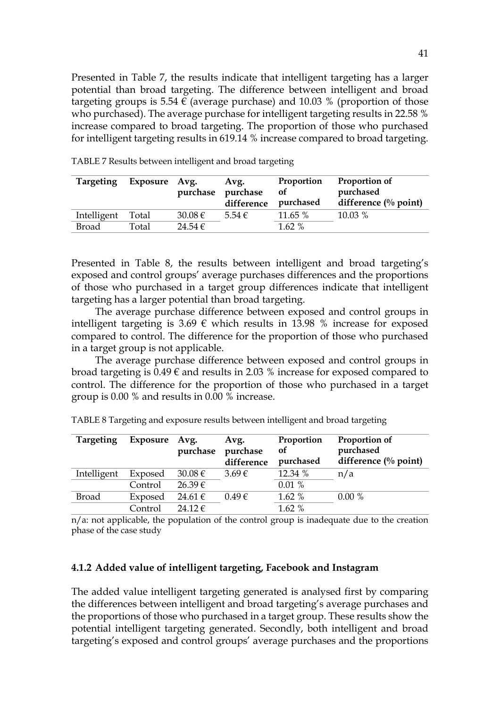Presented in Table 7, the results indicate that intelligent targeting has a larger potential than broad targeting. The difference between intelligent and broad targeting groups is 5.54  $\epsilon$  (average purchase) and 10.03 % (proportion of those who purchased). The average purchase for intelligent targeting results in 22.58 % increase compared to broad targeting. The proportion of those who purchased for intelligent targeting results in 619.14 % increase compared to broad targeting.

| <b>Targeting</b> | Exposure Avg. | purchase    | Avg.<br>purchase<br>difference | Proportion<br>of<br>purchased | Proportion of<br>purchased<br>difference $\left(\%$ point) |
|------------------|---------------|-------------|--------------------------------|-------------------------------|------------------------------------------------------------|
| Intelligent      | Total         | 30.08 €     | $5.54 \in$                     | 11.65 %                       | 10.03 %                                                    |
| <b>Broad</b>     | Total         | 24.54 $\in$ |                                | $1.62\%$                      |                                                            |
|                  |               |             |                                |                               |                                                            |

TABLE 7 Results between intelligent and broad targeting

Presented in Table 8, the results between intelligent and broad targeting's exposed and control groups' average purchases differences and the proportions of those who purchased in a target group differences indicate that intelligent targeting has a larger potential than broad targeting.

The average purchase difference between exposed and control groups in intelligent targeting is 3.69  $\epsilon$  which results in 13.98 % increase for exposed compared to control. The difference for the proportion of those who purchased in a target group is not applicable.

The average purchase difference between exposed and control groups in broad targeting is  $0.49 \in \text{and results in } 2.03$  % increase for exposed compared to control. The difference for the proportion of those who purchased in a target group is 0.00 % and results in 0.00 % increase.

| <b>Targeting</b> | Exposure Avg. | purchase    | Avg.<br>purchase<br>difference | Proportion<br><b>of</b><br>purchased | Proportion of<br>purchased<br>difference $\left(\%$ point) |
|------------------|---------------|-------------|--------------------------------|--------------------------------------|------------------------------------------------------------|
| Intelligent      | Exposed       | $30.08 \in$ | $3.69 \in$                     | 12.34 %                              | n/a                                                        |
|                  | Control       | $26.39 \in$ |                                | 0.01%                                |                                                            |
| Broad            | Exposed       | $24.61 \in$ | $0.49 \in$                     | 1.62%                                | 0.00%                                                      |
|                  | Control:      | $24.12 \in$ |                                | 1.62 %                               |                                                            |

TABLE 8 Targeting and exposure results between intelligent and broad targeting

 $n/a$ : not applicable, the population of the control group is inadequate due to the creation phase of the case study

#### **4.1.2 Added value of intelligent targeting, Facebook and Instagram**

The added value intelligent targeting generated is analysed first by comparing the differences between intelligent and broad targeting's average purchases and the proportions of those who purchased in a target group. These results show the potential intelligent targeting generated. Secondly, both intelligent and broad targeting's exposed and control groups' average purchases and the proportions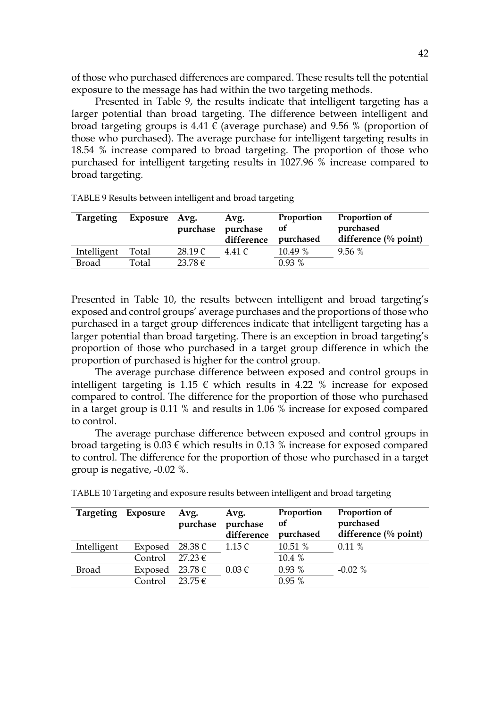of those who purchased differences are compared. These results tell the potential exposure to the message has had within the two targeting methods.

Presented in Table 9, the results indicate that intelligent targeting has a larger potential than broad targeting. The difference between intelligent and broad targeting groups is 4.41  $\epsilon$  (average purchase) and 9.56 % (proportion of those who purchased). The average purchase for intelligent targeting results in 18.54 % increase compared to broad targeting. The proportion of those who purchased for intelligent targeting results in 1027.96 % increase compared to broad targeting.

| Targeting   | Exposure | Avg.<br>purchase | Avg.<br>purchase<br>difference | Proportion<br><b>of</b><br>purchased | Proportion of<br>purchased<br>difference $\frac{0}{0}$ point) |
|-------------|----------|------------------|--------------------------------|--------------------------------------|---------------------------------------------------------------|
| Intelligent | Total    | 28.19€           | $4.41 \in$                     | 10.49 %                              | 9.56%                                                         |
| Broad       | Total    | $23.78 \in$      |                                | $0.93\%$                             |                                                               |

TABLE 9 Results between intelligent and broad targeting

Presented in Table 10, the results between intelligent and broad targeting's exposed and control groups' average purchases and the proportions of those who purchased in a target group differences indicate that intelligent targeting has a larger potential than broad targeting. There is an exception in broad targeting's proportion of those who purchased in a target group difference in which the proportion of purchased is higher for the control group.

The average purchase difference between exposed and control groups in intelligent targeting is 1.15  $\epsilon$  which results in 4.22 % increase for exposed compared to control. The difference for the proportion of those who purchased in a target group is 0.11 % and results in 1.06 % increase for exposed compared to control.

The average purchase difference between exposed and control groups in broad targeting is  $0.03 \in \mathbb{R}$  which results in 0.13 % increase for exposed compared to control. The difference for the proportion of those who purchased in a target group is negative, -0.02 %.

| Targeting   | Exposure            | Avg.<br>purchase   | Avg.<br>purchase<br>difference | Proportion<br><sub>of</sub><br>purchased | Proportion of<br>purchased<br>difference $(\%$ point) |
|-------------|---------------------|--------------------|--------------------------------|------------------------------------------|-------------------------------------------------------|
| Intelligent | Exposed $28.38 \in$ |                    | $1.15 \in$                     | 10.51 %                                  | 0.11%                                                 |
|             | Control             | $27.23 \in$        |                                | 10.4 %                                   |                                                       |
| Broad       | Exposed $23.78 \in$ |                    | $0.03 \in$                     | 0.93%                                    | $-0.02\%$                                             |
|             | Control             | $23\,75\,\epsilon$ |                                | 0.95%                                    |                                                       |

TABLE 10 Targeting and exposure results between intelligent and broad targeting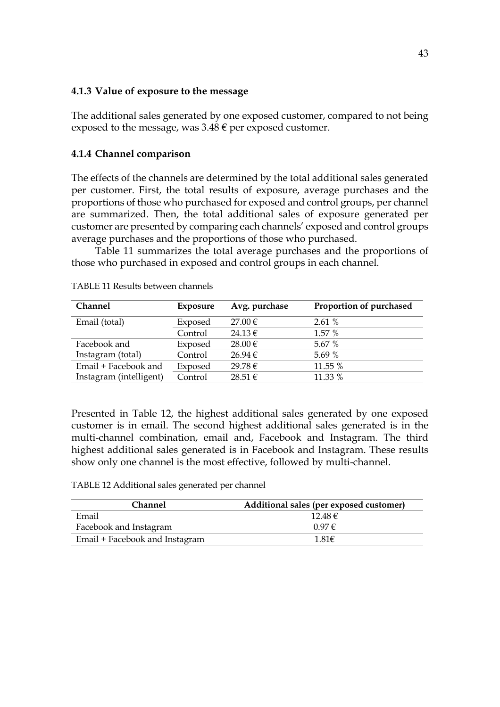### **4.1.3 Value of exposure to the message**

The additional sales generated by one exposed customer, compared to not being exposed to the message, was  $3.48 \in$  per exposed customer.

## **4.1.4 Channel comparison**

The effects of the channels are determined by the total additional sales generated per customer. First, the total results of exposure, average purchases and the proportions of those who purchased for exposed and control groups, per channel are summarized. Then, the total additional sales of exposure generated per customer are presented by comparing each channels' exposed and control groups average purchases and the proportions of those who purchased.

Table 11 summarizes the total average purchases and the proportions of those who purchased in exposed and control groups in each channel.

| <b>Channel</b>          | Exposure | Avg. purchase | Proportion of purchased |
|-------------------------|----------|---------------|-------------------------|
| Email (total)           | Exposed  | $27.00 \in$   | 2.61%                   |
|                         | Control  | 24.13€        | 1.57%                   |
| Facebook and            | Exposed  | $28.00 \in$   | 5.67 %                  |
| Instagram (total)       | Control  | $26.94 \in$   | 5.69 %                  |
| Email + Facebook and    | Exposed  | 29.78€        | 11.55 %                 |
| Instagram (intelligent) | Control  | $28.51 \in$   | 11.33 %                 |

TABLE 11 Results between channels

Presented in Table 12, the highest additional sales generated by one exposed customer is in email. The second highest additional sales generated is in the multi-channel combination, email and, Facebook and Instagram. The third highest additional sales generated is in Facebook and Instagram. These results show only one channel is the most effective, followed by multi-channel.

TABLE 12 Additional sales generated per channel

| <b>Channel</b>                 | Additional sales (per exposed customer) |
|--------------------------------|-----------------------------------------|
| Email                          | 12.48 $\epsilon$                        |
| Facebook and Instagram         | 0.97 f                                  |
| Email + Facebook and Instagram | 1.81 $\epsilon$                         |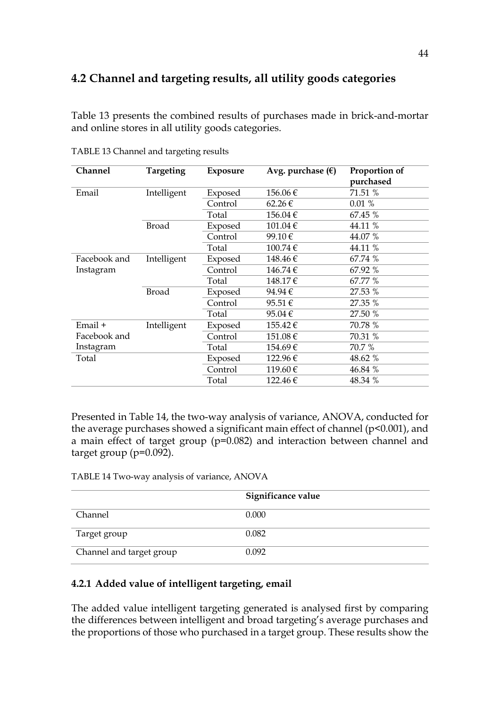# **4.2 Channel and targeting results, all utility goods categories**

Table 13 presents the combined results of purchases made in brick-and-mortar and online stores in all utility goods categories.

| <b>Channel</b> | Targeting    | <b>Exposure</b> | Avg. purchase $(\epsilon)$ | Proportion of |
|----------------|--------------|-----------------|----------------------------|---------------|
|                |              |                 |                            | purchased     |
| Email          | Intelligent  | Exposed         | 156.06€                    | 71.51 %       |
|                |              | Control         | $62.26 \in$                | 0.01%         |
|                |              | Total           | 156.04€                    | 67.45 %       |
|                | <b>Broad</b> | Exposed         | 101.04€                    | 44.11 %       |
|                |              | Control         | 99.10€                     | 44.07 %       |
|                |              | Total           | 100.74€                    | 44.11 %       |
| Facebook and   | Intelligent  | Exposed         | 148.46€                    | 67.74 %       |
| Instagram      |              | Control         | 146.74€                    | 67.92 %       |
|                |              | Total           | 148.17€                    | 67.77 %       |
|                | <b>Broad</b> | Exposed         | 94.94€                     | 27.53 %       |
|                |              | Control         | 95.51€                     | 27.35 %       |
|                |              | Total           | 95.04€                     | 27.50 %       |
| Email +        | Intelligent  | Exposed         | 155.42€                    | 70.78 %       |
| Facebook and   |              | Control         | 151.08€                    | 70.31 %       |
| Instagram      |              | Total           | 154.69€                    | 70.7 %        |
| Total          |              | Exposed         | 122.96€                    | 48.62 %       |
|                |              | Control         | 119.60€                    | 46.84 %       |
|                |              | Total           | 122.46€                    | 48.34 %       |

TABLE 13 Channel and targeting results

Presented in Table 14, the two-way analysis of variance, ANOVA, conducted for the average purchases showed a significant main effect of channel (p<0.001), and a main effect of target group (p=0.082) and interaction between channel and target group (p=0.092).

TABLE 14 Two-way analysis of variance, ANOVA

|                          | Significance value |
|--------------------------|--------------------|
| Channel                  | 0.000              |
| Target group             | 0.082              |
| Channel and target group | 0.092              |

## **4.2.1 Added value of intelligent targeting, email**

The added value intelligent targeting generated is analysed first by comparing the differences between intelligent and broad targeting's average purchases and the proportions of those who purchased in a target group. These results show the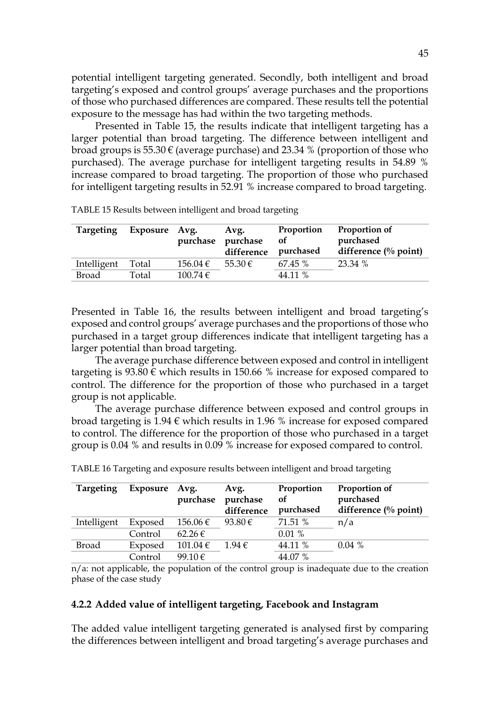potential intelligent targeting generated. Secondly, both intelligent and broad targeting's exposed and control groups' average purchases and the proportions of those who purchased differences are compared. These results tell the potential exposure to the message has had within the two targeting methods.

Presented in Table 15, the results indicate that intelligent targeting has a larger potential than broad targeting. The difference between intelligent and broad groups is  $55.30 \in$  (average purchase) and 23.34 % (proportion of those who purchased). The average purchase for intelligent targeting results in 54.89 % increase compared to broad targeting. The proportion of those who purchased for intelligent targeting results in 52.91 % increase compared to broad targeting.

| <b>Targeting</b> | Exposure | Avg.<br>purchase | Avg.<br>purchase<br>difference | Proportion<br><b>of</b><br>purchased | Proportion of<br>purchased<br>difference $\frac{0}{0}$ point) |
|------------------|----------|------------------|--------------------------------|--------------------------------------|---------------------------------------------------------------|
| Intelligent      | Total    | $156.04 \in$     | $55.30 \in$                    | 67.45 %                              | 23.34 %                                                       |
| Broad            | Total    | 100.74€          |                                | 44.11 %                              |                                                               |

TABLE 15 Results between intelligent and broad targeting

Presented in Table 16, the results between intelligent and broad targeting's exposed and control groups' average purchases and the proportions of those who purchased in a target group differences indicate that intelligent targeting has a larger potential than broad targeting.

The average purchase difference between exposed and control in intelligent targeting is  $93.80 \in \text{which results in } 150.66 \%$  increase for exposed compared to control. The difference for the proportion of those who purchased in a target group is not applicable.

The average purchase difference between exposed and control groups in broad targeting is  $1.94 \in \text{which results in } 1.96 \%$  increase for exposed compared to control. The difference for the proportion of those who purchased in a target group is 0.04 % and results in 0.09 % increase for exposed compared to control.

| <b>Targeting</b> | Exposure | Avg.<br>purchase | Avg.<br>purchase<br>difference | Proportion<br>οf<br>purchased | Proportion of<br>purchased<br>difference $\left(\%$ point) |
|------------------|----------|------------------|--------------------------------|-------------------------------|------------------------------------------------------------|
| Intelligent      | Exposed  | $156.06 \in$     | 93.80 $\in$                    | 71.51 %                       | n/a                                                        |
|                  | Control  | $62.26 \in$      |                                | 0.01%                         |                                                            |
| Broad            | Exposed  | $101.04 \in$     | $1.94 \in$                     | 44.11 %                       | 0.04%                                                      |
|                  | Control  | 99.10 $\in$      |                                | 44.07 %                       |                                                            |

| TABLE 16 Targeting and exposure results between intelligent and broad targeting |  |  |
|---------------------------------------------------------------------------------|--|--|
|                                                                                 |  |  |

n/a: not applicable, the population of the control group is inadequate due to the creation phase of the case study

### **4.2.2 Added value of intelligent targeting, Facebook and Instagram**

The added value intelligent targeting generated is analysed first by comparing the differences between intelligent and broad targeting's average purchases and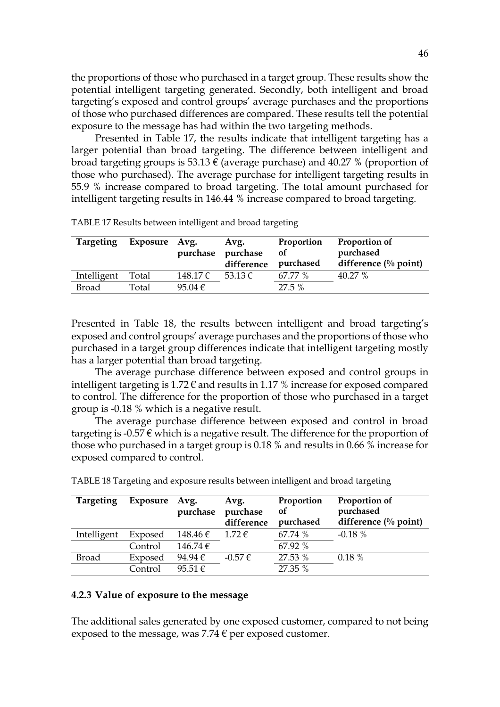the proportions of those who purchased in a target group. These results show the potential intelligent targeting generated. Secondly, both intelligent and broad targeting's exposed and control groups' average purchases and the proportions of those who purchased differences are compared. These results tell the potential exposure to the message has had within the two targeting methods.

Presented in Table 17, the results indicate that intelligent targeting has a larger potential than broad targeting. The difference between intelligent and broad targeting groups is 53.13  $\epsilon$  (average purchase) and 40.27 % (proportion of those who purchased). The average purchase for intelligent targeting results in 55.9 % increase compared to broad targeting. The total amount purchased for intelligent targeting results in 146.44 % increase compared to broad targeting.

| <b>Targeting</b> | Exposure | Avg.<br>purchase | Avg.<br>purchase<br>difference | Proportion<br><b>of</b><br>purchased | Proportion of<br>purchased<br>difference $\frac{0}{0}$ point) |
|------------------|----------|------------------|--------------------------------|--------------------------------------|---------------------------------------------------------------|
| Intelligent      | Total    | 148.17€          | $53.13 \in$                    | 67.77 %                              | 40.27 %                                                       |
| <b>Broad</b>     | Total    | 95.04 $\in$      |                                | 27.5%                                |                                                               |

TABLE 17 Results between intelligent and broad targeting

Presented in Table 18, the results between intelligent and broad targeting's exposed and control groups' average purchases and the proportions of those who purchased in a target group differences indicate that intelligent targeting mostly has a larger potential than broad targeting.

The average purchase difference between exposed and control groups in intelligent targeting is  $1.72 \epsilon$  and results in 1.17 % increase for exposed compared to control. The difference for the proportion of those who purchased in a target group is -0.18 % which is a negative result.

The average purchase difference between exposed and control in broad targeting is -0.57  $\epsilon$  which is a negative result. The difference for the proportion of those who purchased in a target group is 0.18 % and results in 0.66 % increase for exposed compared to control.

| <b>Targeting</b> | Exposure Avg. | purchase     | Avg.<br>purchase<br>difference | Proportion<br>of<br>purchased | Proportion of<br>purchased<br>difference $\left(\%$ point) |
|------------------|---------------|--------------|--------------------------------|-------------------------------|------------------------------------------------------------|
| Intelligent      | Exposed       | $148.46 \in$ | $1.72 \in$                     | 67.74 %                       | $-0.18\%$                                                  |
|                  | Control       | $146.74 \in$ |                                | 67.92 %                       |                                                            |
| <b>Broad</b>     | Exposed       | 94.94 $\in$  | $-0.57€$                       | 27.53 %                       | $0.18 \%$                                                  |
|                  | Control       | 95.51 $\in$  |                                | 27.35 %                       |                                                            |

TABLE 18 Targeting and exposure results between intelligent and broad targeting

### **4.2.3 Value of exposure to the message**

The additional sales generated by one exposed customer, compared to not being exposed to the message, was 7.74  $\epsilon$  per exposed customer.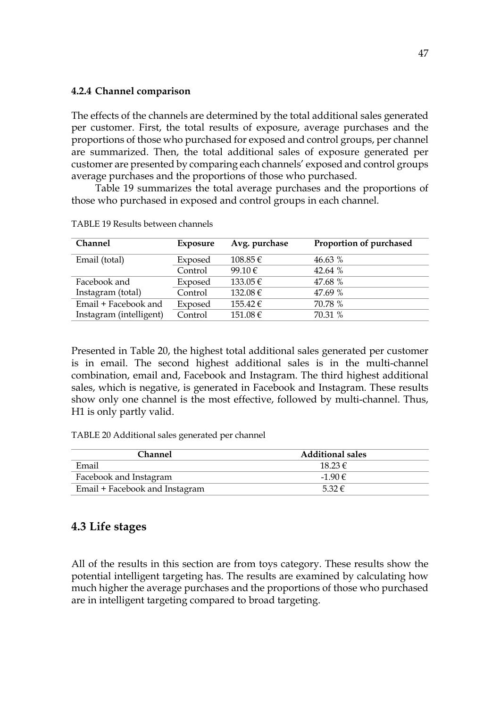### **4.2.4 Channel comparison**

The effects of the channels are determined by the total additional sales generated per customer. First, the total results of exposure, average purchases and the proportions of those who purchased for exposed and control groups, per channel are summarized. Then, the total additional sales of exposure generated per customer are presented by comparing each channels' exposed and control groups average purchases and the proportions of those who purchased.

Table 19 summarizes the total average purchases and the proportions of those who purchased in exposed and control groups in each channel.

| <b>Channel</b>          | Exposure | Avg. purchase | Proportion of purchased |
|-------------------------|----------|---------------|-------------------------|
| Email (total)           | Exposed  | $108.85 \in$  | 46.63 %                 |
|                         | Control  | 99.10 $\in$   | 42.64 $%$               |
| Facebook and            | Exposed  | $133.05 \in$  | 47.68 %                 |
| Instagram (total)       | Control  | 132.08 €      | 47.69 %                 |
| Email + Facebook and    | Exposed  | $155.42 \in$  | 70.78 %                 |
| Instagram (intelligent) | Control  | 151.08€       | 70.31 %                 |

TABLE 19 Results between channels

Presented in Table 20, the highest total additional sales generated per customer is in email. The second highest additional sales is in the multi-channel combination, email and, Facebook and Instagram. The third highest additional sales, which is negative, is generated in Facebook and Instagram. These results show only one channel is the most effective, followed by multi-channel. Thus, H1 is only partly valid.

TABLE 20 Additional sales generated per channel

| <b>Channel</b>                 | <b>Additional sales</b> |  |
|--------------------------------|-------------------------|--|
| Email                          | $1823 \in$              |  |
| Facebook and Instagram         | $-190$ $\in$            |  |
| Email + Facebook and Instagram | $532 \in$               |  |

# **4.3 Life stages**

All of the results in this section are from toys category. These results show the potential intelligent targeting has. The results are examined by calculating how much higher the average purchases and the proportions of those who purchased are in intelligent targeting compared to broad targeting.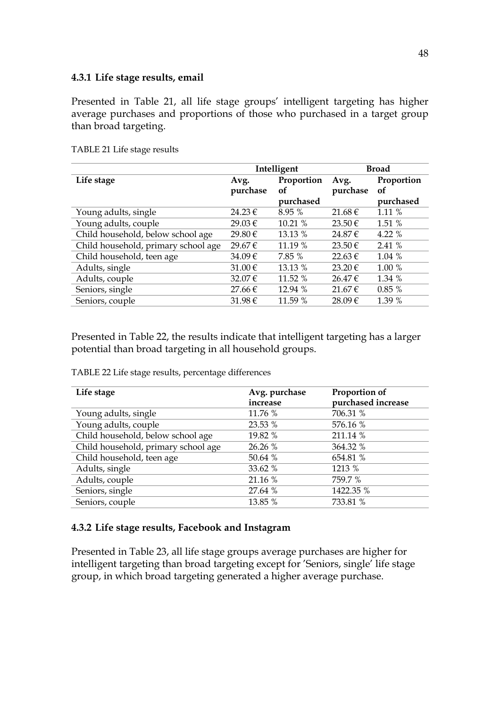### **4.3.1 Life stage results, email**

Presented in Table 21, all life stage groups' intelligent targeting has higher average purchases and proportions of those who purchased in a target group than broad targeting.

|                                     | Intelligent |            |             | <b>Broad</b> |
|-------------------------------------|-------------|------------|-------------|--------------|
| Life stage                          | Avg.        | Proportion | Avg.        | Proportion   |
|                                     | purchase    | οf         | purchase    | of           |
|                                     |             | purchased  |             | purchased    |
| Young adults, single                | $24.23 \in$ | 8.95%      | $21.68 \in$ | 1.11 %       |
| Young adults, couple                | 29.03€      | 10.21%     | 23.50€      | 1.51 %       |
| Child household, below school age   | 29.80€      | 13.13 %    | 24.87€      | 4.22 %       |
| Child household, primary school age | 29.67€      | 11.19 %    | 23.50€      | 2.41 %       |
| Child household, teen age           | 34.09€      | 7.85 %     | 22.63€      | 1.04%        |
| Adults, single                      | 31.00 €     | 13.13 %    | 23.20€      | 1.00 %       |
| Adults, couple                      | 32.07€      | 11.52 %    | $26.47 \in$ | 1.34 %       |
| Seniors, single                     | $27.66 \in$ | 12.94 %    | 21.67€      | 0.85%        |
| Seniors, couple                     | $31.98 \in$ | 11.59 %    | 28.09€      | 1.39 %       |

TABLE 21 Life stage results

Presented in Table 22, the results indicate that intelligent targeting has a larger potential than broad targeting in all household groups.

TABLE 22 Life stage results, percentage differences

| Life stage                          | Avg. purchase<br>increase | Proportion of<br>purchased increase |
|-------------------------------------|---------------------------|-------------------------------------|
| Young adults, single                | 11.76 %                   | 706.31 %                            |
| Young adults, couple                | 23.53 %                   | 576.16 %                            |
| Child household, below school age   | 19.82 %                   | 211.14 %                            |
| Child household, primary school age | 26.26 %                   | 364.32 %                            |
| Child household, teen age           | 50.64 %                   | 654.81 %                            |
| Adults, single                      | 33.62 %                   | 1213 %                              |
| Adults, couple                      | 21.16 %                   | 759.7 %                             |
| Seniors, single                     | 27.64 %                   | 1422.35 %                           |
| Seniors, couple                     | 13.85 %                   | 733.81 %                            |

### **4.3.2 Life stage results, Facebook and Instagram**

Presented in Table 23, all life stage groups average purchases are higher for intelligent targeting than broad targeting except for 'Seniors, single' life stage group, in which broad targeting generated a higher average purchase.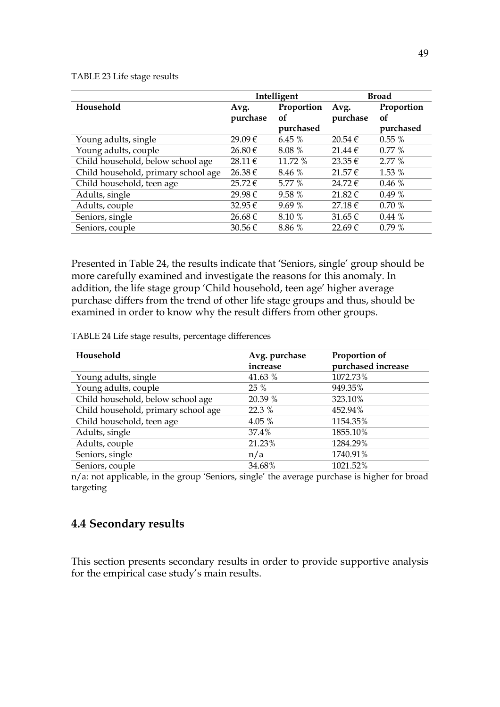TABLE 23 Life stage results

|                                     |                  | Intelligent      |                  | <b>Broad</b>     |
|-------------------------------------|------------------|------------------|------------------|------------------|
| Household                           | Avg.<br>purchase | Proportion<br>of | Avg.<br>purchase | Proportion<br>of |
|                                     |                  | purchased        |                  | purchased        |
| Young adults, single                | 29.09€           | 6.45%            | 20.54€           | 0.55%            |
| Young adults, couple                | 26.80 €          | 8.08 %           | 21.44€           | $0.77\%$         |
| Child household, below school age   | 28.11€           | 11.72 %          | $23.35 \in$      | 2.77%            |
| Child household, primary school age | 26.38€           | 8.46 %           | 21.57€           | 1.53 %           |
| Child household, teen age           | 25.72€           | 5.77 %           | 24.72€           | 0.46%            |
| Adults, single                      | 29.98€           | 9.58 %           | $21.82 \in$      | 0.49%            |
| Adults, couple                      | 32.95€           | 9.69%            | 27.18€           | 0.70%            |
| Seniors, single                     | 26.68€           | 8.10 %           | $31.65 \in$      | 0.44%            |
| Seniors, couple                     | $30.56 \in$      | 8.86 %           | 22.69€           | 0.79%            |

Presented in Table 24, the results indicate that 'Seniors, single' group should be more carefully examined and investigate the reasons for this anomaly. In addition, the life stage group 'Child household, teen age' higher average purchase differs from the trend of other life stage groups and thus, should be examined in order to know why the result differs from other groups.

TABLE 24 Life stage results, percentage differences

| Household                           | Avg. purchase | Proportion of      |
|-------------------------------------|---------------|--------------------|
|                                     | increase      | purchased increase |
| Young adults, single                | 41.63 %       | 1072.73%           |
| Young adults, couple                | 25 %          | 949.35%            |
| Child household, below school age   | 20.39 %       | 323.10%            |
| Child household, primary school age | 22.3 %        | 452.94%            |
| Child household, teen age           | 4.05 %        | 1154.35%           |
| Adults, single                      | 37.4%         | 1855.10%           |
| Adults, couple                      | 21.23%        | 1284.29%           |
| Seniors, single                     | n/a           | 1740.91%           |
| Seniors, couple                     | 34.68%        | 1021.52%           |

n/a: not applicable, in the group 'Seniors, single' the average purchase is higher for broad targeting

# **4.4 Secondary results**

This section presents secondary results in order to provide supportive analysis for the empirical case study's main results.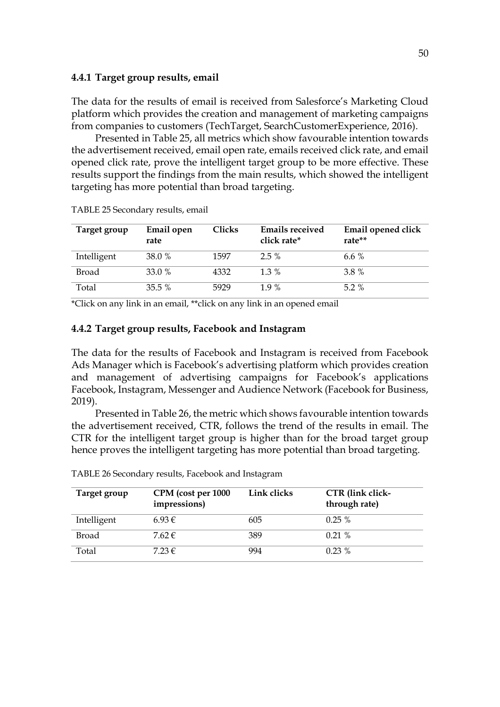#### **4.4.1 Target group results, email**

The data for the results of email is received from Salesforce's Marketing Cloud platform which provides the creation and management of marketing campaigns from companies to customers (TechTarget, SearchCustomerExperience, 2016).

Presented in Table 25, all metrics which show favourable intention towards the advertisement received, email open rate, emails received click rate, and email opened click rate, prove the intelligent target group to be more effective. These results support the findings from the main results, which showed the intelligent targeting has more potential than broad targeting.

| Target group | Email open<br>rate | Clicks | <b>Emails received</b><br>click rate* | Email opened click<br>rate** |
|--------------|--------------------|--------|---------------------------------------|------------------------------|
| Intelligent  | 38.0 %             | 1597   | $2.5\%$                               | 6.6 $%$                      |
| <b>Broad</b> | 33.0%              | 4332   | $1.3\%$                               | 3.8 %                        |
| Total        | $35.5\%$           | 5929   | 19 %                                  | $5.2\%$                      |

TABLE 25 Secondary results, email

\*Click on any link in an email, \*\*click on any link in an opened email

#### **4.4.2 Target group results, Facebook and Instagram**

The data for the results of Facebook and Instagram is received from Facebook Ads Manager which is Facebook's advertising platform which provides creation and management of advertising campaigns for Facebook's applications Facebook, Instagram, Messenger and Audience Network (Facebook for Business, 2019).

Presented in Table 26, the metric which shows favourable intention towards the advertisement received, CTR, follows the trend of the results in email. The CTR for the intelligent target group is higher than for the broad target group hence proves the intelligent targeting has more potential than broad targeting.

| Target group | CPM (cost per 1000<br>impressions) | Link clicks | CTR (link click-<br>through rate) |
|--------------|------------------------------------|-------------|-----------------------------------|
| Intelligent  | 6.93€                              | 605         | $0.25\%$                          |
| <b>Broad</b> | $7.62 \in$                         | 389         | 0.21%                             |
| Total        | $7.23 \in$                         | 994         | $0.23\%$                          |

TABLE 26 Secondary results, Facebook and Instagram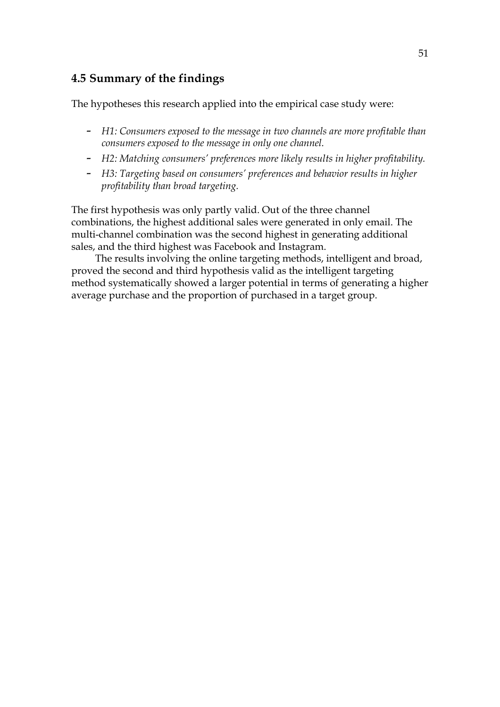# **4.5 Summary of the findings**

The hypotheses this research applied into the empirical case study were:

- *H1: Consumers exposed to the message in two channels are more profitable than consumers exposed to the message in only one channel.*
- *H2: Matching consumers' preferences more likely results in higher profitability.*
- *H3: Targeting based on consumers' preferences and behavior results in higher profitability than broad targeting.*

The first hypothesis was only partly valid. Out of the three channel combinations, the highest additional sales were generated in only email. The multi-channel combination was the second highest in generating additional sales, and the third highest was Facebook and Instagram.

The results involving the online targeting methods, intelligent and broad, proved the second and third hypothesis valid as the intelligent targeting method systematically showed a larger potential in terms of generating a higher average purchase and the proportion of purchased in a target group.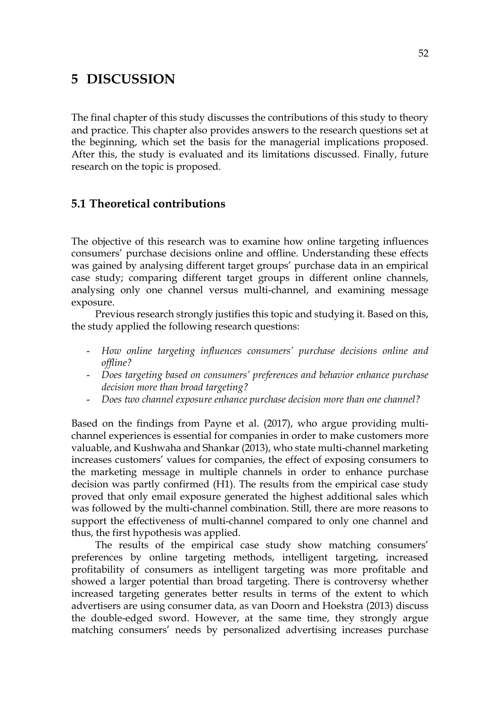# **5 DISCUSSION**

The final chapter of this study discusses the contributions of this study to theory and practice. This chapter also provides answers to the research questions set at the beginning, which set the basis for the managerial implications proposed. After this, the study is evaluated and its limitations discussed. Finally, future research on the topic is proposed.

# **5.1 Theoretical contributions**

The objective of this research was to examine how online targeting influences consumers' purchase decisions online and offline. Understanding these effects was gained by analysing different target groups' purchase data in an empirical case study; comparing different target groups in different online channels, analysing only one channel versus multi-channel, and examining message exposure.

Previous research strongly justifies this topic and studying it. Based on this, the study applied the following research questions:

- *How online targeting influences consumers' purchase decisions online and offline?*
- *Does targeting based on consumers' preferences and behavior enhance purchase decision more than broad targeting?*
- *Does two channel exposure enhance purchase decision more than one channel?*

Based on the findings from Payne et al. (2017), who argue providing multichannel experiences is essential for companies in order to make customers more valuable, and Kushwaha and Shankar (2013), who state multi-channel marketing increases customers' values for companies, the effect of exposing consumers to the marketing message in multiple channels in order to enhance purchase decision was partly confirmed (H1). The results from the empirical case study proved that only email exposure generated the highest additional sales which was followed by the multi-channel combination. Still, there are more reasons to support the effectiveness of multi-channel compared to only one channel and thus, the first hypothesis was applied.

The results of the empirical case study show matching consumers' preferences by online targeting methods, intelligent targeting, increased profitability of consumers as intelligent targeting was more profitable and showed a larger potential than broad targeting. There is controversy whether increased targeting generates better results in terms of the extent to which advertisers are using consumer data, as van Doorn and Hoekstra (2013) discuss the double-edged sword. However, at the same time, they strongly argue matching consumers' needs by personalized advertising increases purchase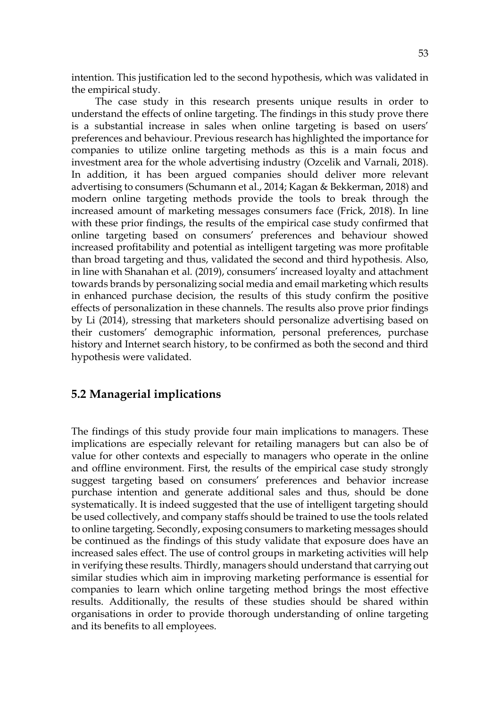intention. This justification led to the second hypothesis, which was validated in the empirical study.

The case study in this research presents unique results in order to understand the effects of online targeting. The findings in this study prove there is a substantial increase in sales when online targeting is based on users' preferences and behaviour. Previous research has highlighted the importance for companies to utilize online targeting methods as this is a main focus and investment area for the whole advertising industry (Ozcelik and Varnali, 2018). In addition, it has been argued companies should deliver more relevant advertising to consumers (Schumann et al., 2014; Kagan & Bekkerman, 2018) and modern online targeting methods provide the tools to break through the increased amount of marketing messages consumers face (Frick, 2018). In line with these prior findings, the results of the empirical case study confirmed that online targeting based on consumers' preferences and behaviour showed increased profitability and potential as intelligent targeting was more profitable than broad targeting and thus, validated the second and third hypothesis. Also, in line with Shanahan et al. (2019), consumers' increased loyalty and attachment towards brands by personalizing social media and email marketing which results in enhanced purchase decision, the results of this study confirm the positive effects of personalization in these channels. The results also prove prior findings by Li (2014), stressing that marketers should personalize advertising based on their customers' demographic information, personal preferences, purchase history and Internet search history, to be confirmed as both the second and third hypothesis were validated.

## **5.2 Managerial implications**

The findings of this study provide four main implications to managers. These implications are especially relevant for retailing managers but can also be of value for other contexts and especially to managers who operate in the online and offline environment. First, the results of the empirical case study strongly suggest targeting based on consumers' preferences and behavior increase purchase intention and generate additional sales and thus, should be done systematically. It is indeed suggested that the use of intelligent targeting should be used collectively, and company staffs should be trained to use the tools related to online targeting. Secondly, exposing consumers to marketing messages should be continued as the findings of this study validate that exposure does have an increased sales effect. The use of control groups in marketing activities will help in verifying these results. Thirdly, managers should understand that carrying out similar studies which aim in improving marketing performance is essential for companies to learn which online targeting method brings the most effective results. Additionally, the results of these studies should be shared within organisations in order to provide thorough understanding of online targeting and its benefits to all employees.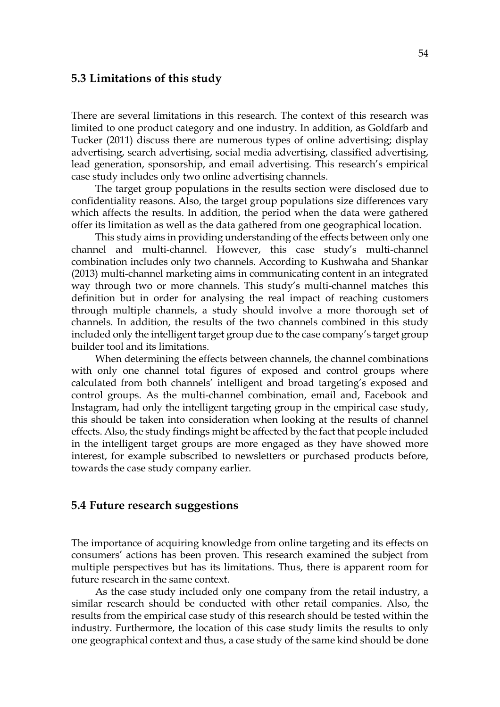# **5.3 Limitations of this study**

There are several limitations in this research. The context of this research was limited to one product category and one industry. In addition, as Goldfarb and Tucker (2011) discuss there are numerous types of online advertising; display advertising, search advertising, social media advertising, classified advertising, lead generation, sponsorship, and email advertising. This research's empirical case study includes only two online advertising channels.

The target group populations in the results section were disclosed due to confidentiality reasons. Also, the target group populations size differences vary which affects the results. In addition, the period when the data were gathered offer its limitation as well as the data gathered from one geographical location.

This study aims in providing understanding of the effects between only one channel and multi-channel. However, this case study's multi-channel combination includes only two channels. According to Kushwaha and Shankar (2013) multi-channel marketing aims in communicating content in an integrated way through two or more channels. This study's multi-channel matches this definition but in order for analysing the real impact of reaching customers through multiple channels, a study should involve a more thorough set of channels. In addition, the results of the two channels combined in this study included only the intelligent target group due to the case company's target group builder tool and its limitations.

When determining the effects between channels, the channel combinations with only one channel total figures of exposed and control groups where calculated from both channels' intelligent and broad targeting's exposed and control groups. As the multi-channel combination, email and, Facebook and Instagram, had only the intelligent targeting group in the empirical case study, this should be taken into consideration when looking at the results of channel effects. Also, the study findings might be affected by the fact that people included in the intelligent target groups are more engaged as they have showed more interest, for example subscribed to newsletters or purchased products before, towards the case study company earlier.

### **5.4 Future research suggestions**

The importance of acquiring knowledge from online targeting and its effects on consumers' actions has been proven. This research examined the subject from multiple perspectives but has its limitations. Thus, there is apparent room for future research in the same context.

As the case study included only one company from the retail industry, a similar research should be conducted with other retail companies. Also, the results from the empirical case study of this research should be tested within the industry. Furthermore, the location of this case study limits the results to only one geographical context and thus, a case study of the same kind should be done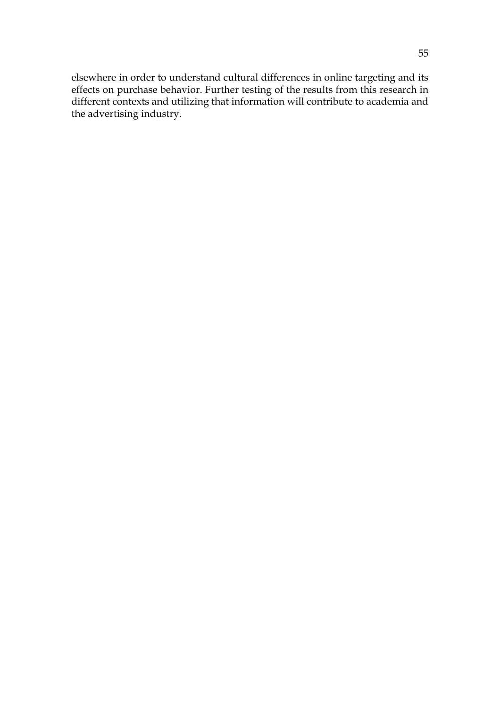elsewhere in order to understand cultural differences in online targeting and its effects on purchase behavior. Further testing of the results from this research in different contexts and utilizing that information will contribute to academia and the advertising industry.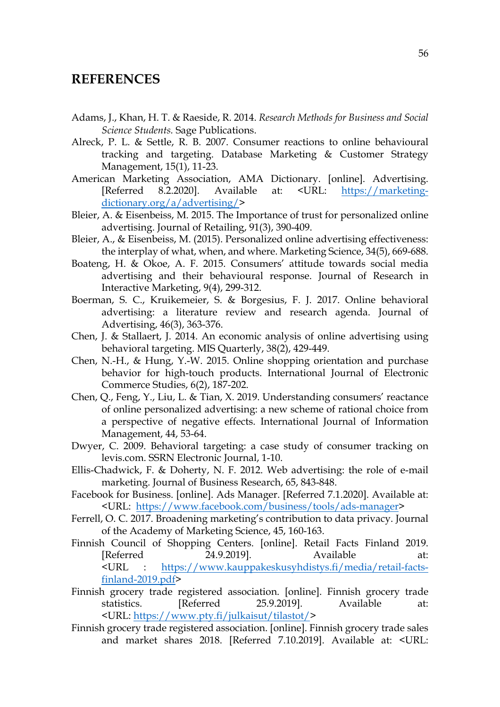# **REFERENCES**

- Adams, J., Khan, H. T. & Raeside, R. 2014. *Research Methods for Business and Social Science Students.* Sage Publications.
- Alreck, P. L. & Settle, R. B. 2007. Consumer reactions to online behavioural tracking and targeting. Database Marketing & Customer Strategy Management, 15(1), 11-23.
- American Marketing Association, AMA Dictionary. [online]. Advertising. [Referred 8.2.2020]. Available at: <URL: https://marketingdictionary.org/a/advertising/>
- Bleier, A. & Eisenbeiss, M. 2015. The Importance of trust for personalized online advertising. Journal of Retailing, 91(3), 390-409.
- Bleier, A., & Eisenbeiss, M. (2015). Personalized online advertising effectiveness: the interplay of what, when, and where. Marketing Science, 34(5), 669-688.
- Boateng, H. & Okoe, A. F. 2015. Consumers' attitude towards social media advertising and their behavioural response. Journal of Research in Interactive Marketing, 9(4), 299-312.
- Boerman, S. C., Kruikemeier, S. & Borgesius, F. J. 2017. Online behavioral advertising: a literature review and research agenda. Journal of Advertising, 46(3), 363-376.
- Chen, J. & Stallaert, J. 2014. An economic analysis of online advertising using behavioral targeting. MIS Quarterly, 38(2), 429-449.
- Chen, N.-H., & Hung, Y.-W. 2015. Online shopping orientation and purchase behavior for high-touch products. International Journal of Electronic Commerce Studies, 6(2), 187-202.
- Chen, Q., Feng, Y., Liu, L. & Tian, X. 2019. Understanding consumers' reactance of online personalized advertising: a new scheme of rational choice from a perspective of negative effects. International Journal of Information Management, 44, 53-64.
- Dwyer, C. 2009. Behavioral targeting: a case study of consumer tracking on levis.com. SSRN Electronic Journal, 1-10.
- Ellis-Chadwick, F. & Doherty, N. F. 2012. Web advertising: the role of e-mail marketing. Journal of Business Research, 65, 843-848.
- Facebook for Business. [online]. Ads Manager. [Referred 7.1.2020]. Available at: <URL: https://www.facebook.com/business/tools/ads-manager>
- Ferrell, O. C. 2017. Broadening marketing's contribution to data privacy. Journal of the Academy of Marketing Science, 45, 160-163.
- Finnish Council of Shopping Centers. [online]. Retail Facts Finland 2019. [Referred 24.9.2019]. Available at: <URL : https://www.kauppakeskusyhdistys.fi/media/retail-factsfinland-2019.pdf>
- Finnish grocery trade registered association. [online]. Finnish grocery trade statistics. [Referred 25.9.2019]. Available at: <URL: https://www.pty.fi/julkaisut/tilastot/>
- Finnish grocery trade registered association. [online]. Finnish grocery trade sales and market shares 2018. [Referred 7.10.2019]. Available at: <URL: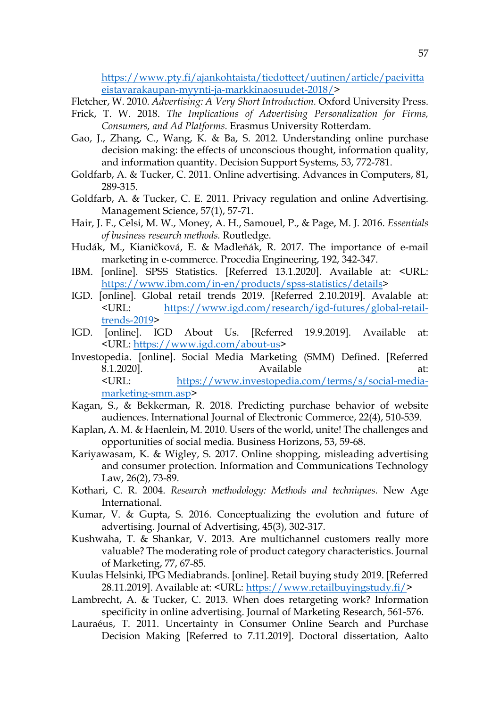https://www.pty.fi/ajankohtaista/tiedotteet/uutinen/article/paeivitta eistavarakaupan-myynti-ja-markkinaosuudet-2018/>

Fletcher, W. 2010. *Advertising: A Very Short Introduction.* Oxford University Press.

- Frick, T. W. 2018. *The Implications of Advertising Personalization for Firms, Consumers, and Ad Platforms.* Erasmus University Rotterdam.
- Gao, J., Zhang, C., Wang, K. & Ba, S. 2012. Understanding online purchase decision making: the effects of unconscious thought, information quality, and information quantity. Decision Support Systems, 53, 772-781.
- Goldfarb, A. & Tucker, C. 2011. Online advertising. Advances in Computers, 81, 289-315.
- Goldfarb, A. & Tucker, C. E. 2011. Privacy regulation and online Advertising. Management Science, 57(1), 57-71.
- Hair, J. F., Celsi, M. W., Money, A. H., Samouel, P., & Page, M. J. 2016. *Essentials of business research methods.* Routledge.
- Hudák, M., Kianičková, E. & Madleňák, R. 2017. The importance of e-mail marketing in e-commerce. Procedia Engineering, 192, 342-347.
- IBM. [online]. SPSS Statistics. [Referred 13.1.2020]. Available at: <URL: https://www.ibm.com/in-en/products/spss-statistics/details>
- IGD. [online]. Global retail trends 2019. [Referred 2.10.2019]. Avalable at: <URL: https://www.igd.com/research/igd-futures/global-retailtrends-2019>
- IGD. [online]. IGD About Us. [Referred 19.9.2019]. Available at: <URL: https://www.igd.com/about-us>
- Investopedia. [online]. Social Media Marketing (SMM) Defined. [Referred 8.1.2020]. Available at: <URL: https://www.investopedia.com/terms/s/social-mediamarketing-smm.asp>
- Kagan, S., & Bekkerman, R. 2018. Predicting purchase behavior of website audiences. International Journal of Electronic Commerce, 22(4), 510-539.
- Kaplan, A. M. & Haenlein, M. 2010. Users of the world, unite! The challenges and opportunities of social media. Business Horizons, 53, 59-68.
- Kariyawasam, K. & Wigley, S. 2017. Online shopping, misleading advertising and consumer protection. Information and Communications Technology Law, 26(2), 73-89.
- Kothari, C. R. 2004. *Research methodology: Methods and techniques.* New Age International.
- Kumar, V. & Gupta, S. 2016. Conceptualizing the evolution and future of advertising. Journal of Advertising, 45(3), 302-317.
- Kushwaha, T. & Shankar, V. 2013. Are multichannel customers really more valuable? The moderating role of product category characteristics. Journal of Marketing, 77, 67-85.
- Kuulas Helsinki, IPG Mediabrands. [online]. Retail buying study 2019. [Referred 28.11.2019]. Available at: <URL: https://www.retailbuyingstudy.fi/>
- Lambrecht, A. & Tucker, C. 2013. When does retargeting work? Information specificity in online advertising. Journal of Marketing Research, 561-576.
- Lauraéus, T. 2011. Uncertainty in Consumer Online Search and Purchase Decision Making [Referred to 7.11.2019]. Doctoral dissertation, Aalto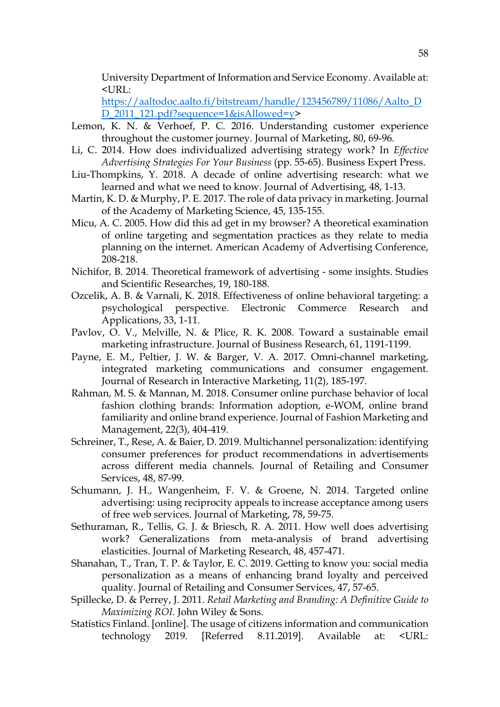University Department of Information and Service Economy. Available at: <URL:

https://aaltodoc.aalto.fi/bitstream/handle/123456789/11086/Aalto\_D D\_2011\_121.pdf?sequence=1&isAllowed=y>

- Lemon, K. N. & Verhoef, P. C. 2016. Understanding customer experience throughout the customer journey. Journal of Marketing, 80, 69-96.
- Li, C. 2014. How does individualized advertising strategy work? In *Effective Advertising Strategies For Your Business* (pp. 55-65). Business Expert Press.
- Liu-Thompkins, Y. 2018. A decade of online advertising research: what we learned and what we need to know. Journal of Advertising, 48, 1-13.
- Martin, K. D. & Murphy, P. E. 2017. The role of data privacy in marketing. Journal of the Academy of Marketing Science, 45, 135-155.
- Micu, A. C. 2005. How did this ad get in my browser? A theoretical examination of online targeting and segmentation practices as they relate to media planning on the internet. American Academy of Advertising Conference, 208-218.
- Nichifor, B. 2014. Theoretical framework of advertising some insights. Studies and Scientific Researches, 19, 180-188.
- Ozcelik, A. B. & Varnali, K. 2018. Effectiveness of online behavioral targeting: a psychological perspective. Electronic Commerce Research and Applications, 33, 1-11.
- Pavlov, O. V., Melville, N. & Plice, R. K. 2008. Toward a sustainable email marketing infrastructure. Journal of Business Research, 61, 1191-1199.
- Payne, E. M., Peltier, J. W. & Barger, V. A. 2017. Omni-channel marketing, integrated marketing communications and consumer engagement. Journal of Research in Interactive Marketing, 11(2), 185-197.
- Rahman, M. S. & Mannan, M. 2018. Consumer online purchase behavior of local fashion clothing brands: Information adoption, e-WOM, online brand familiarity and online brand experience. Journal of Fashion Marketing and Management, 22(3), 404-419.
- Schreiner, T., Rese, A. & Baier, D. 2019. Multichannel personalization: identifying consumer preferences for product recommendations in advertisements across different media channels. Journal of Retailing and Consumer Services, 48, 87-99.
- Schumann, J. H., Wangenheim, F. V. & Groene, N. 2014. Targeted online advertising: using reciprocity appeals to increase acceptance among users of free web services. Journal of Marketing, 78, 59-75.
- Sethuraman, R., Tellis, G. J. & Briesch, R. A. 2011. How well does advertising work? Generalizations from meta-analysis of brand advertising elasticities. Journal of Marketing Research, 48, 457-471.
- Shanahan, T., Tran, T. P. & Taylor, E. C. 2019. Getting to know you: social media personalization as a means of enhancing brand loyalty and perceived quality. Journal of Retailing and Consumer Services, 47, 57-65.
- Spillecke, D. & Perrey, J. 2011. *Retail Marketing and Branding: A Definitive Guide to Maximizing ROI.* John Wiley & Sons.
- Statistics Finland. [online]. The usage of citizens information and communication technology 2019. [Referred 8.11.2019]. Available at: <URL: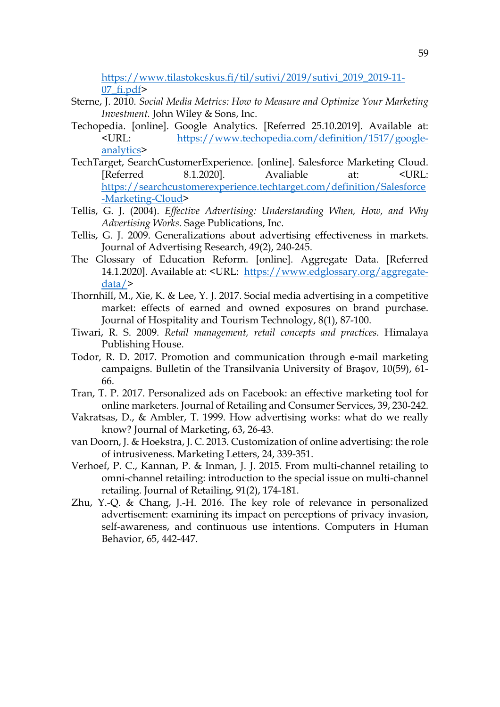https://www.tilastokeskus.fi/til/sutivi/2019/sutivi\_2019\_2019-11- 07\_fi.pdf>

- Sterne, J. 2010. *Social Media Metrics: How to Measure and Optimize Your Marketing Investment.* John Wiley & Sons, Inc.
- Techopedia. [online]. Google Analytics. [Referred 25.10.2019]. Available at: <URL: https://www.techopedia.com/definition/1517/googleanalytics>
- TechTarget, SearchCustomerExperience. [online]. Salesforce Marketing Cloud. [Referred 8.1.2020]. Avaliable at: <URL: https://searchcustomerexperience.techtarget.com/definition/Salesforce -Marketing-Cloud>
- Tellis, G. J. (2004). *Effective Advertising: Understanding When, How, and Why Advertising Works.* Sage Publications, Inc.
- Tellis, G. J. 2009. Generalizations about advertising effectiveness in markets. Journal of Advertising Research, 49(2), 240-245.
- The Glossary of Education Reform. [online]. Aggregate Data. [Referred 14.1.2020]. Available at: <URL: https://www.edglossary.org/aggregatedata/>
- Thornhill, M., Xie, K. & Lee, Y. J. 2017. Social media advertising in a competitive market: effects of earned and owned exposures on brand purchase. Journal of Hospitality and Tourism Technology, 8(1), 87-100.
- Tiwari, R. S. 2009. *Retail management, retail concepts and practices.* Himalaya Publishing House.
- Todor, R. D. 2017. Promotion and communication through e-mail marketing campaigns. Bulletin of the Transilvania University of Braşov, 10(59), 61- 66.
- Tran, T. P. 2017. Personalized ads on Facebook: an effective marketing tool for online marketers. Journal of Retailing and Consumer Services, 39, 230-242.
- Vakratsas, D., & Ambler, T. 1999. How advertising works: what do we really know? Journal of Marketing, 63, 26-43.
- van Doorn, J. & Hoekstra, J. C. 2013. Customization of online advertising: the role of intrusiveness. Marketing Letters, 24, 339-351.
- Verhoef, P. C., Kannan, P. & Inman, J. J. 2015. From multi-channel retailing to omni-channel retailing: introduction to the special issue on multi-channel retailing. Journal of Retailing, 91(2), 174-181.
- Zhu, Y.-Q. & Chang, J.-H. 2016. The key role of relevance in personalized advertisement: examining its impact on perceptions of privacy invasion, self-awareness, and continuous use intentions. Computers in Human Behavior, 65, 442-447.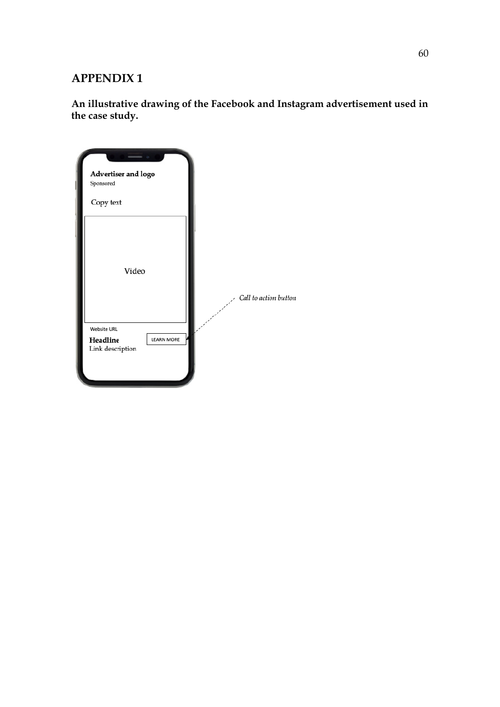# **APPENDIX 1**

**An illustrative drawing of the Facebook and Instagram advertisement used in the case study.** 

| $\sqrt{2}$<br>Advertiser and logo<br>Sponsored |                   |  |                       |
|------------------------------------------------|-------------------|--|-----------------------|
| Copy text                                      |                   |  |                       |
| Video                                          |                   |  | Call to action button |
| <b>Website URL</b><br>Headline                 | <b>LEARN MORE</b> |  |                       |
| Link description                               |                   |  |                       |